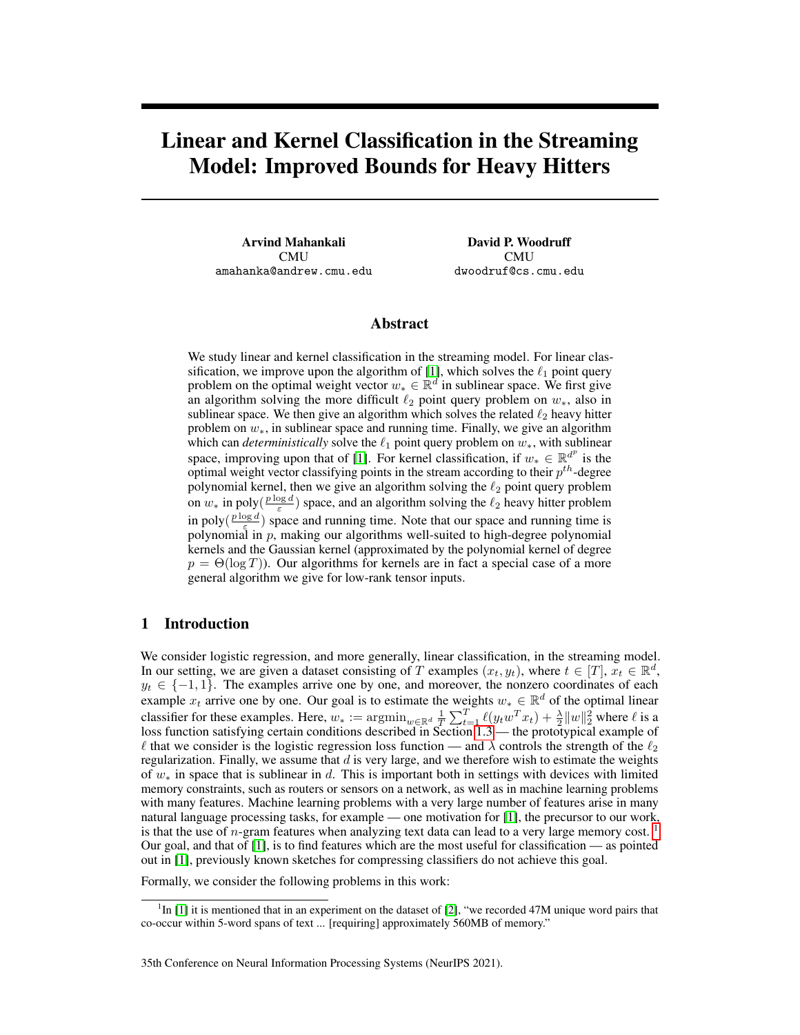# Linear and Kernel Classification in the Streaming Model: Improved Bounds for Heavy Hitters

Arvind Mahankali **CMU** amahanka@andrew.cmu.edu

David P. Woodruff **CMU** dwoodruf@cs.cmu.edu

### Abstract

We study linear and kernel classification in the streaming model. For linear clas-sification, we improve upon the algorithm of [\[1\]](#page-10-0), which solves the  $\ell_1$  point query problem on the optimal weight vector  $w_* \in \mathbb{R}^d$  in sublinear space. We first give an algorithm solving the more difficult  $\ell_2$  point query problem on  $w_*$ , also in sublinear space. We then give an algorithm which solves the related  $\ell_2$  heavy hitter problem on  $w_*$ , in sublinear space and running time. Finally, we give an algorithm which can *deterministically* solve the  $\ell_1$  point query problem on  $w_*$ , with sublinear space, improving upon that of [\[1\]](#page-10-0). For kernel classification, if  $w_* \in \mathbb{R}^{d^p}$  is the optimal weight vector classifying points in the stream according to their  $p^{th}$ -degree polynomial kernel, then we give an algorithm solving the  $\ell_2$  point query problem on  $w_*$  in poly $(\frac{p \log d}{\varepsilon})$  space, and an algorithm solving the  $\ell_2$  heavy hitter problem in poly( $\frac{p \log d}{\epsilon}$ ) space and running time. Note that our space and running time is polynomial in  $p$ , making our algorithms well-suited to high-degree polynomial kernels and the Gaussian kernel (approximated by the polynomial kernel of degree  $p = \Theta(\log T)$ . Our algorithms for kernels are in fact a special case of a more general algorithm we give for low-rank tensor inputs.

# 1 Introduction

We consider logistic regression, and more generally, linear classification, in the streaming model. In our setting, we are given a dataset consisting of T examples  $(x_t, y_t)$ , where  $t \in [T]$ ,  $\tilde{x}_t \in \mathbb{R}^d$ ,  $y_t \in \{-1, 1\}$ . The examples arrive one by one, and moreover, the nonzero coordinates of each example  $x_t$  arrive one by one. Our goal is to estimate the weights  $w_* \in \mathbb{R}^d$  of the optimal linear classifier for these examples. Here,  $w_* := \operatorname{argmin}_{w \in \mathbb{R}^d} \frac{1}{T} \sum_{t=1}^T \ell(y_t w^T x_t) + \frac{\lambda}{2} ||w||_2^2$  where  $\ell$  is a loss function satisfying certain conditions described in Section [1.3](#page-4-0) — the prototypical example of  $\ell$  that we consider is the logistic regression loss function — and  $\lambda$  controls the strength of the  $\ell_2$ regularization. Finally, we assume that  $d$  is very large, and we therefore wish to estimate the weights of  $w_*$  in space that is sublinear in d. This is important both in settings with devices with limited memory constraints, such as routers or sensors on a network, as well as in machine learning problems with many features. Machine learning problems with a very large number of features arise in many natural language processing tasks, for example — one motivation for [\[1\]](#page-10-0), the precursor to our work, is that the use of *n*-gram features when analyzing text data can lead to a very large memory cost.  $<sup>1</sup>$  $<sup>1</sup>$  $<sup>1</sup>$ </sup> Our goal, and that of [\[1\]](#page-10-0), is to find features which are the most useful for classification — as pointed out in [\[1\]](#page-10-0), previously known sketches for compressing classifiers do not achieve this goal.

Formally, we consider the following problems in this work:

<span id="page-0-0"></span> ${}^{1}$ In [\[1\]](#page-10-0) it is mentioned that in an experiment on the dataset of [\[2\]](#page-10-1), "we recorded 47M unique word pairs that co-occur within 5-word spans of text ... [requiring] approximately 560MB of memory."

<sup>35</sup>th Conference on Neural Information Processing Systems (NeurIPS 2021).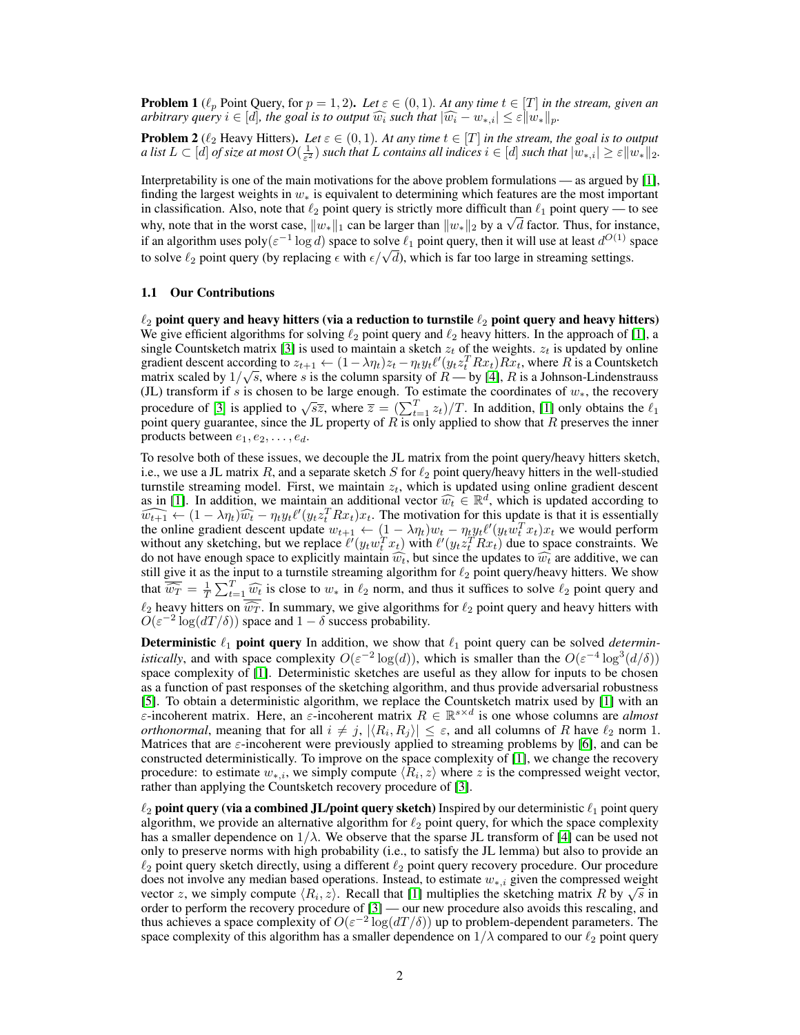**Problem 1** ( $\ell_p$  Point Query, for  $p = 1, 2$ ). Let  $\varepsilon \in (0, 1)$ . At any time  $t \in [T]$  in the stream, given an *arbitrary query*  $i \in [d]$ *, the goal is to output*  $\widehat{w_i}$  *such that*  $|\widehat{w_i} - w_{*,i}| \leq \varepsilon \|w_{*}\|_p$ *.* 

**Problem 2** ( $\ell_2$  Heavy Hitters). Let  $\varepsilon \in (0,1)$ . At any time  $t \in [T]$  in the stream, the goal is to output *a* list  $L \subset [d]$  *of size at most*  $O(\frac{1}{\varepsilon^2})$  *such that*  $L$  *contains all indices*  $i \in [d]$  *such that*  $|w_{*,i}| \geq \varepsilon ||w_*||_2$ .

Interpretability is one of the main motivations for the above problem formulations — as argued by [\[1\]](#page-10-0), finding the largest weights in  $w_*$  is equivalent to determining which features are the most important in classification. Also, note that  $\ell_2$  point query is strictly more difficult than  $\ell_1$  point query — to see In classification. Also, note that  $\ell_2$  point query is strictly more difficult than  $\ell_1$  point query — to see why, note that in the worst case,  $||w_*||_1$  can be larger than  $||w_*||_2$  by a  $\sqrt{d}$  factor. Thus, for insta if an algorithm uses  $poly(\varepsilon^{-1} \log d)$  space to solve  $\ell_1$  point query, then it will use at least  $d^{O(1)}$  space to solve  $\ell_2$  point query (by replacing  $\epsilon$  with  $\epsilon/\sqrt{d}$ ), which is far too large in streaming settings.

#### 1.1 Our Contributions

 $\ell_2$  point query and heavy hitters (via a reduction to turnstile  $\ell_2$  point query and heavy hitters) We give efficient algorithms for solving  $\ell_2$  point query and  $\ell_2$  heavy hitters. In the approach of [\[1\]](#page-10-0), a single Countsketch matrix [\[3\]](#page-10-2) is used to maintain a sketch  $z_t$  of the weights.  $z_t$  is updated by online gradient descent according to  $z_{t+1} \leftarrow (1 - \lambda \eta_t) z_t - \eta_t y_t \ell'(y_t z_t^T R x_t) R x_t$ , where R is a Countsketch matrix scaled by  $1/\sqrt{s}$ , where s is the column sparsity of  $R$  — by [\[4\]](#page-10-3), R is a Johnson-Lindenstrauss (JL) transform if s is chosen to be large enough. To estimate the coordinates of  $w_*$ , the recovery procedure of [[3](#page-10-2)] is applied to  $\sqrt{s}\overline{z}$ , where  $\overline{z} = (\sum_{t=1}^{T} z_t)/T$ . In addition, [\[1\]](#page-10-0) only obtains the  $\ell_1$ point query guarantee, since the JL property of  $R$  is only applied to show that  $R$  preserves the inner products between  $e_1, e_2, \ldots, e_d$ .

To resolve both of these issues, we decouple the JL matrix from the point query/heavy hitters sketch, i.e., we use a JL matrix R, and a separate sketch S for  $\ell_2$  point query/heavy hitters in the well-studied turnstile streaming model. First, we maintain  $z_t$ , which is updated using online gradient descent as in [\[1\]](#page-10-0). In addition, we maintain an additional vector  $\widehat{w_t} \in \mathbb{R}$ <br> $\widehat{w_{t+1}} \leftarrow (1 - \lambda v_t) \widehat{w_t} - v_t u_t \ell'(u_t z^T R x_t) x_t$ . The motivation for  $d$ , which is updated according to  $\widehat{w_{t+1}} \leftarrow (1 - \lambda \eta_t) \widehat{w_t} - \eta_t y_t \ell' (y_t z_t^T R x_t) x_t$ . The motivation for this update is that it is essentially<br>the online gradient descent update  $w_{t+1} \leftarrow (1 - \lambda v_t) w_t - v_t y_t \ell' (u_t y_t^T x_t) x_t$ , we would perform the online gradient descent update  $w_{t+1} \leftarrow (1 - \lambda \eta_t) w_t - \eta_t y_t \ell'(y_t w_t^T x_t) x_t$  we would perform without any sketching, but we replace  $\ell'(y_t w_t^T x_t)$  with  $\ell'(y_t z_t^T R x_t)$  due to space constraints. We do not have enough space to explicitly maintain  $\widehat{w_t}$ , but since the updates to  $\widehat{w_t}$  are additive, we can<br>still give it as the input to a turnstile streaming algorithm for  $\ell_2$  point query/heavy hitters. We sho still give it as the input to a turnstile streaming algorithm for  $\ell_2$  point query/heavy hitters. We show that  $\widehat{\omega}_T = \frac{1}{T} \sum_{t=1}^T \widehat{\omega}_t$  is close to  $w_*$  in  $\ell_2$  norm, and thus it suffices to solve  $\ell_2$  point query and  $\ell_2$  heavy hitters on  $\overline{\hat{w}_T}$ . In summary, we give algorithms for  $\ell_2$  point query and heavy hitters with  $O(\varepsilon^{-2} \log(dT/\delta))$  space and  $1 - \delta$  success probability.

**Deterministic**  $\ell_1$  **point query** In addition, we show that  $\ell_1$  point query can be solved *deterministically*, and with space complexity  $O(\varepsilon^{-2} \log(d))$ , which is smaller than the  $O(\varepsilon^{-4} \log^3(d/\delta))$ space complexity of [\[1\]](#page-10-0). Deterministic sketches are useful as they allow for inputs to be chosen as a function of past responses of the sketching algorithm, and thus provide adversarial robustness [\[5\]](#page-10-4). To obtain a deterministic algorithm, we replace the Countsketch matrix used by [\[1\]](#page-10-0) with an  $ε$ -incoherent matrix. Here, an *ε*-incoherent matrix  $R ∈ ℝ<sup>s×d</sup>$  is one whose columns are *almost orthonormal*, meaning that for all  $i \neq j$ ,  $|\langle R_i, R_j \rangle| \leq \varepsilon$ , and all columns of R have  $\ell_2$  norm 1. Matrices that are  $\varepsilon$ -incoherent were previously applied to streaming problems by [\[6\]](#page-10-5), and can be constructed deterministically. To improve on the space complexity of [\[1\]](#page-10-0), we change the recovery procedure: to estimate  $w_{*,i}$ , we simply compute  $\langle R_i, z \rangle$  where z is the compressed weight vector, rather than applying the Countsketch recovery procedure of [\[3\]](#page-10-2).

 $\ell_2$  point query (via a combined JL/point query sketch) Inspired by our deterministic  $\ell_1$  point query algorithm, we provide an alternative algorithm for  $\ell_2$  point query, for which the space complexity has a smaller dependence on  $1/\lambda$ . We observe that the sparse JL transform of [\[4\]](#page-10-3) can be used not only to preserve norms with high probability (i.e., to satisfy the JL lemma) but also to provide an  $\ell_2$  point query sketch directly, using a different  $\ell_2$  point query recovery procedure. Our procedure does not involve any median based operations. Instead, to estimate  $w_{*,i}$  given the compressed weight does not involve any median based operations. Instead, to estimate  $w_{*,i}$  given the compressed weight vector z, we simply compute  $\langle R_i, z \rangle$ . Recall that [\[1\]](#page-10-0) multiplies the sketching matrix R by  $\sqrt{s}$  in order to perform the recovery procedure of [\[3\]](#page-10-2) — our new procedure also avoids this rescaling, and thus achieves a space complexity of  $O(\varepsilon^{-2} \log(dT/\delta))$  up to problem-dependent parameters. The space complexity of this algorithm has a smaller dependence on  $1/\lambda$  compared to our  $\ell_2$  point query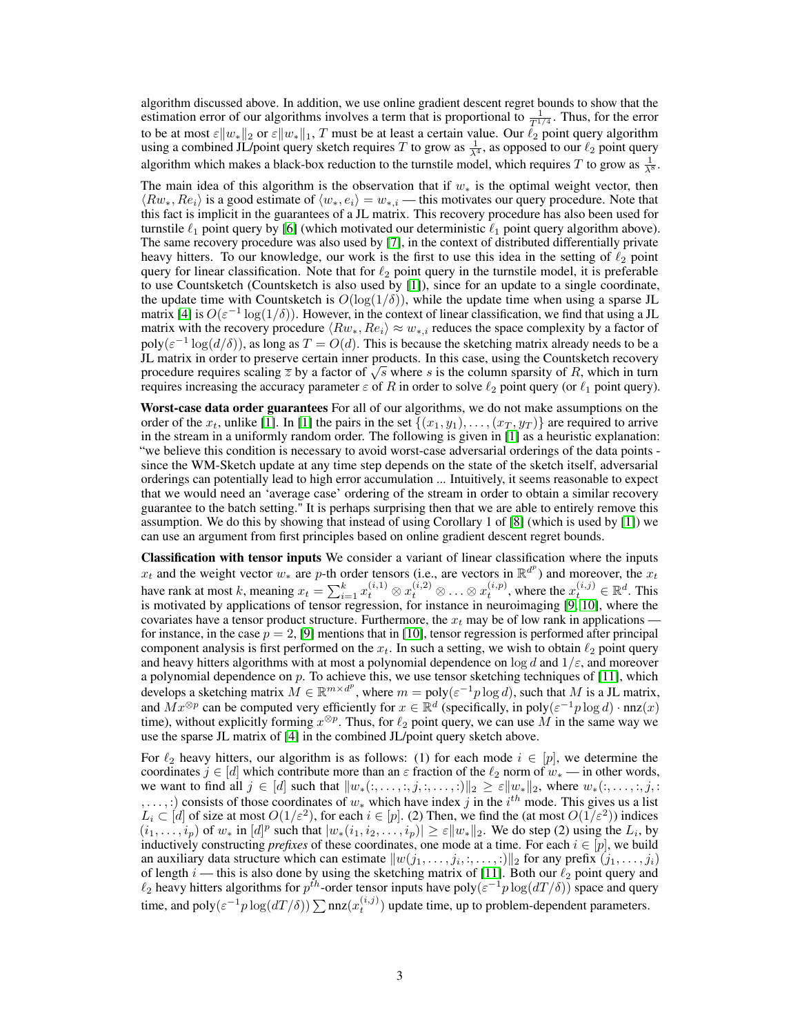algorithm discussed above. In addition, we use online gradient descent regret bounds to show that the estimation error of our algorithms involves a term that is proportional to  $\frac{1}{T^{1/4}}$ . Thus, for the error to be at most  $\varepsilon ||w_*||_2$  or  $\varepsilon ||w_*||_1$ , T must be at least a certain value. Our  $\ell_2$  point query algorithm using a combined JL/point query sketch requires T to grow as  $\frac{1}{\lambda^4}$ , as opposed to our  $\ell_2$  point query algorithm which makes a black-box reduction to the turnstile model, which requires T to grow as  $\frac{1}{\lambda^8}$ .

The main idea of this algorithm is the observation that if  $w_*$  is the optimal weight vector, then  $\langle Rw_*, Re_i \rangle$  is a good estimate of  $\langle w_*, e_i \rangle = w_{*,i}$  — this motivates our query procedure. Note that this fact is implicit in the guarantees of a JL matrix. This recovery procedure has also been used for turnstile  $\ell_1$  point query by [\[6\]](#page-10-5) (which motivated our deterministic  $\ell_1$  point query algorithm above). The same recovery procedure was also used by [\[7\]](#page-10-6), in the context of distributed differentially private heavy hitters. To our knowledge, our work is the first to use this idea in the setting of  $\ell_2$  point query for linear classification. Note that for  $\ell_2$  point query in the turnstile model, it is preferable to use Countsketch (Countsketch is also used by [\[1\]](#page-10-0)), since for an update to a single coordinate, the update time with Countsketch is  $O(\log(1/\delta))$ , while the update time when using a sparse JL matrix [\[4\]](#page-10-3) is  $O(\varepsilon^{-1} \log(1/\delta))$ . However, in the context of linear classification, we find that using a JL matrix with the recovery procedure  $\langle Rw_*, Re_i \rangle \approx w_{*,i}$  reduces the space complexity by a factor of  $poly(\varepsilon^{-1} \log(d/\delta))$ , as long as  $T = O(d)$ . This is because the sketching matrix already needs to be a JL matrix in order to preserve certain inner products. In this case, using the Countsketch recovery The matrix in order to preserve certain inner products. In this case, using the Countsketch recovery procedure requires scaling  $\overline{z}$  by a factor of  $\sqrt{s}$  where s is the column sparsity of R, which in turn requires increasing the accuracy parameter  $\varepsilon$  of R in order to solve  $\ell_2$  point query (or  $\ell_1$  point query).

Worst-case data order guarantees For all of our algorithms, we do not make assumptions on the order of the  $x_t$ , unlike [\[1\]](#page-10-0). In [1] the pairs in the set  $\{(x_1, y_1), \ldots, (x_T, y_T)\}$  are required to arrive in the stream in a uniformly random order. The following is given in [\[1\]](#page-10-0) as a heuristic explanation: "we believe this condition is necessary to avoid worst-case adversarial orderings of the data points since the WM-Sketch update at any time step depends on the state of the sketch itself, adversarial orderings can potentially lead to high error accumulation ... Intuitively, it seems reasonable to expect that we would need an 'average case' ordering of the stream in order to obtain a similar recovery guarantee to the batch setting." It is perhaps surprising then that we are able to entirely remove this assumption. We do this by showing that instead of using Corollary 1 of [\[8\]](#page-10-7) (which is used by [\[1\]](#page-10-0)) we can use an argument from first principles based on online gradient descent regret bounds.

Classification with tensor inputs We consider a variant of linear classification where the inputs  $x_t$  and the weight vector  $w_*$  are p-th order tensors (i.e., are vectors in  $\mathbb{R}^{d^p}$ ) and moreover, the  $x_t$ have rank at most k, meaning  $x_t = \sum_{i=1}^k x_t^{(i,1)} \otimes x_t^{(i,2)} \otimes \ldots \otimes x_t^{(i,p)}$ , where the  $x_t^{(i,j)} \in \mathbb{R}^d$ . This is motivated by applications of tensor regression, for instance in neuroimaging [\[9,](#page-10-8) [10\]](#page-10-9), where the covariates have a tensor product structure. Furthermore, the  $x_t$  may be of low rank in applications for instance, in the case  $p = 2$ , [\[9\]](#page-10-8) mentions that in [\[10\]](#page-10-9), tensor regression is performed after principal component analysis is first performed on the  $x_t$ . In such a setting, we wish to obtain  $\ell_2$  point query and heavy hitters algorithms with at most a polynomial dependence on  $\log d$  and  $1/\varepsilon$ , and moreover a polynomial dependence on  $p$ . To achieve this, we use tensor sketching techniques of [\[11\]](#page-10-10), which develops a sketching matrix  $M \in \mathbb{R}^{m \times d^p}$ , where  $m = \text{poly}(\varepsilon^{-1} p \log d)$ , such that M is a JL matrix, and  $Mx^{\otimes p}$  can be computed very efficiently for  $x \in \mathbb{R}^d$  (specifically, in poly $(\varepsilon^{-1}p \log d) \cdot$ nnz $(x)$ ) time), without explicitly forming  $x^{\otimes p}$ . Thus, for  $\ell_2$  point query, we can use M in the same way we use the sparse JL matrix of [\[4\]](#page-10-3) in the combined JL/point query sketch above.

For  $\ell_2$  heavy hitters, our algorithm is as follows: (1) for each mode  $i \in [p]$ , we determine the coordinates  $j \in [d]$  which contribute more than an  $\varepsilon$  fraction of the  $\ell_2$  norm of  $w_*$  — in other words, we want to find all  $j \in [d]$  such that  $||w_*(:,...,:,j,:,...,:)||_2 \geq \varepsilon ||w_*||_2$ , where  $w_*(:,...,:,j,:)$ , ..., :) consists of those coordinates of  $w_*$  which have index j in the i<sup>th</sup> mode. This gives us a list  $L_i \subset [d]$  of size at most  $O(1/\varepsilon^2)$ , for each  $i \in [p]$ . (2) Then, we find the (at most  $O(1/\varepsilon^2)$ ) indices  $(i_1, \ldots, i_p)$  of  $w_*$  in  $[d]^p$  such that  $|w_*(i_1, i_2, \ldots, i_p)| \geq \varepsilon ||w_*||_2$ . We do step (2) using the  $L_i$ , by inductively constructing *prefixes* of these coordinates, one mode at a time. For each  $i \in [p]$ , we build an auxiliary data structure which can estimate  $\|w(j_1,\ldots,j_i,:,\ldots,:)\|_2$  for any prefix  $(j_1,\ldots,j_i)$ of length i — this is also done by using the sketching matrix of [\[11\]](#page-10-10). Both our  $\ell_2$  point query and  $\ell_2$  heavy hitters algorithms for  $p^{th}$ -order tensor inputs have  $\text{poly}(\varepsilon^{-1}p\log(dT/\delta))$  space and query time, and  $\text{poly}(\varepsilon^{-1}p\log(dT/\delta))\sum \text{nnz}(x_t^{(i,j)})$  update time, up to problem-dependent parameters.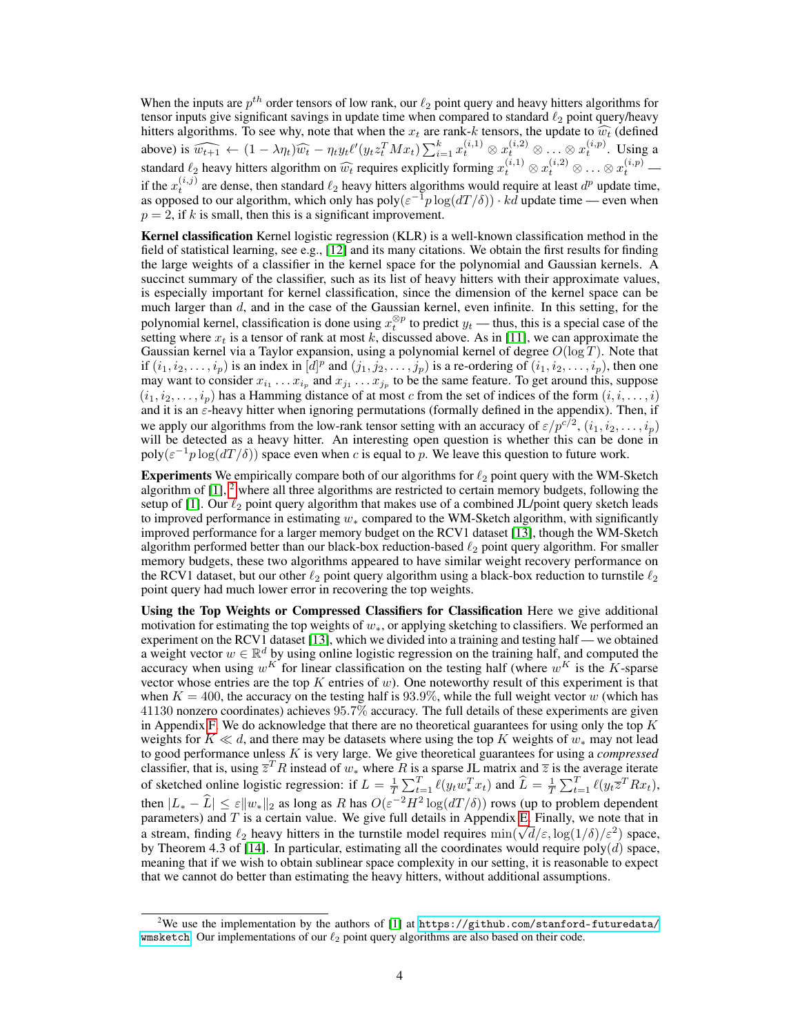When the inputs are  $p^{th}$  order tensors of low rank, our  $\ell_2$  point query and heavy hitters algorithms for tensor inputs give significant savings in update time when compared to standard  $\ell_2$  point query/heavy hitters algorithms. To see why, note that when the  $x_t$  are rank-k tensors, the update to  $\widehat{w_t}$  (defined above) is  $\widehat{w_{t+1}} \leftarrow (1 - \lambda \eta_t) \widehat{w_t} - \eta_t y_t \ell'(y_t z_t^T M x_t) \sum_{i=1}^k x_t^{(i,1)} \otimes x_t^{(i,2)} \otimes \ldots \otimes x_t^{(i,p)}$ . Using a standard  $\ell_2$  heavy hitters algorithm on  $\widehat{w_t}$  requires explicitly forming  $x_t^{(i,1)} \otimes x_t^{(i,2)} \otimes \ldots \otimes x_t^{(i,p)}$ if the  $x_t^{(i,j)}$  are dense, then standard  $\ell_2$  heavy hitters algorithms would require at least  $d^p$  update time, as opposed to our algorithm, which only has  $poly(\varepsilon^{-1}p \log(dT/\delta)) \cdot k\tilde{d}$  update time — even when  $p = 2$ , if k is small, then this is a significant improvement.

Kernel classification Kernel logistic regression (KLR) is a well-known classification method in the field of statistical learning, see e.g., [\[12\]](#page-10-11) and its many citations. We obtain the first results for finding the large weights of a classifier in the kernel space for the polynomial and Gaussian kernels. A succinct summary of the classifier, such as its list of heavy hitters with their approximate values, is especially important for kernel classification, since the dimension of the kernel space can be much larger than  $d$ , and in the case of the Gaussian kernel, even infinite. In this setting, for the polynomial kernel, classification is done using  $x_t^{\otimes p}$  to predict  $y_t$  — thus, this is a special case of the setting where  $x_t$  is a tensor of rank at most k, discussed above. As in [\[11\]](#page-10-10), we can approximate the Gaussian kernel via a Taylor expansion, using a polynomial kernel of degree  $O(\log T)$ . Note that if  $(i_1, i_2, \ldots, i_p)$  is an index in  $[d]^p$  and  $(j_1, j_2, \ldots, j_p)$  is a re-ordering of  $(i_1, i_2, \ldots, i_p)$ , then one may want to consider  $x_{i_1} \ldots x_{i_p}$  and  $x_{j_1} \ldots x_{j_p}$  to be the same feature. To get around this, suppose  $(i_1, i_2, \ldots, i_p)$  has a Hamming distance of at most c from the set of indices of the form  $(i, i, \ldots, i)$ and it is an  $\varepsilon$ -heavy hitter when ignoring permutations (formally defined in the appendix). Then, if we apply our algorithms from the low-rank tensor setting with an accuracy of  $\varepsilon/p^{c/2}$ ,  $(i_1, i_2, \ldots, i_p)$ will be detected as a heavy hitter. An interesting open question is whether this can be done in  $poly(\varepsilon^{-1}p \log(dT/\delta))$  space even when c is equal to p. We leave this question to future work.

**Experiments** We empirically compare both of our algorithms for  $\ell_2$  point query with the WM-Sketch algorithm of  $[1]$ , <sup>[2](#page-3-0)</sup> where all three algorithms are restricted to certain memory budgets, following the setup of [\[1\]](#page-10-0). Our  $\ell_2$  point query algorithm that makes use of a combined JL/point query sketch leads to improved performance in estimating  $w_*$  compared to the WM-Sketch algorithm, with significantly improved performance for a larger memory budget on the RCV1 dataset [\[13\]](#page-10-12), though the WM-Sketch algorithm performed better than our black-box reduction-based  $\ell_2$  point query algorithm. For smaller memory budgets, these two algorithms appeared to have similar weight recovery performance on the RCV1 dataset, but our other  $\ell_2$  point query algorithm using a black-box reduction to turnstile  $\ell_2$ point query had much lower error in recovering the top weights.

Using the Top Weights or Compressed Classifiers for Classification Here we give additional motivation for estimating the top weights of  $w_*$ , or applying sketching to classifiers. We performed an experiment on the RCV1 dataset [\[13\]](#page-10-12), which we divided into a training and testing half — we obtained a weight vector  $w \in \mathbb{R}^d$  by using online logistic regression on the training half, and computed the accuracy when using  $w^K$  for linear classification on the testing half (where  $w^K$  is the K-sparse vector whose entries are the top  $K$  entries of  $w$ ). One noteworthy result of this experiment is that when  $K = 400$ , the accuracy on the testing half is 93.9%, while the full weight vector w (which has 41130 nonzero coordinates) achieves 95.7% accuracy. The full details of these experiments are given in Appendix [F.](#page--1-0) We do acknowledge that there are no theoretical guarantees for using only the top  $K$ weights for  $K \ll d$ , and there may be datasets where using the top K weights of  $w_*$  may not lead to good performance unless K is very large. We give theoretical guarantees for using a *compressed* classifier, that is, using  $\overline{z}^T R$  instead of  $w_*$  where R is a sparse JL matrix and  $\overline{z}$  is the average iterate of sketched online logistic regression: if  $L = \frac{1}{T} \sum_{t=1}^{T} \ell(y_t w_*^T x_t)$  and  $\hat{L} = \frac{1}{T} \sum_{t=1}^{T} \ell(y_t \overline{z}^T R x_t)$ , then  $|L_* - \hat{L}| \leq \varepsilon \|w_*\|_2$  as long as R has  $O(\varepsilon^{-2}H^2 \log(dT/\delta))$  rows (up to problem dependent parameters) and  $T$  is a certain value. We give full details in Appendix [E.](#page--1-0) Finally, we note that in parameters) and 1 is a certain value. We give full details in Appendix E. Finally, we note that in a stream, finding  $\ell_2$  heavy hitters in the turnstile model requires  $\min(\sqrt{d}/\varepsilon, \log(1/\delta)/\varepsilon^2)$  space, by Theorem 4.3 of [\[14\]](#page-11-0). In particular, estimating all the coordinates would require poly(d) space, meaning that if we wish to obtain sublinear space complexity in our setting, it is reasonable to expect that we cannot do better than estimating the heavy hitters, without additional assumptions.

<span id="page-3-0"></span><sup>&</sup>lt;sup>2</sup>We use the implementation by the authors of  $[1]$  at [https://github.com/stanford-futuredata/](https://github.com/stanford-futuredata/wmsketch) [wmsketch](https://github.com/stanford-futuredata/wmsketch). Our implementations of our  $\ell_2$  point query algorithms are also based on their code.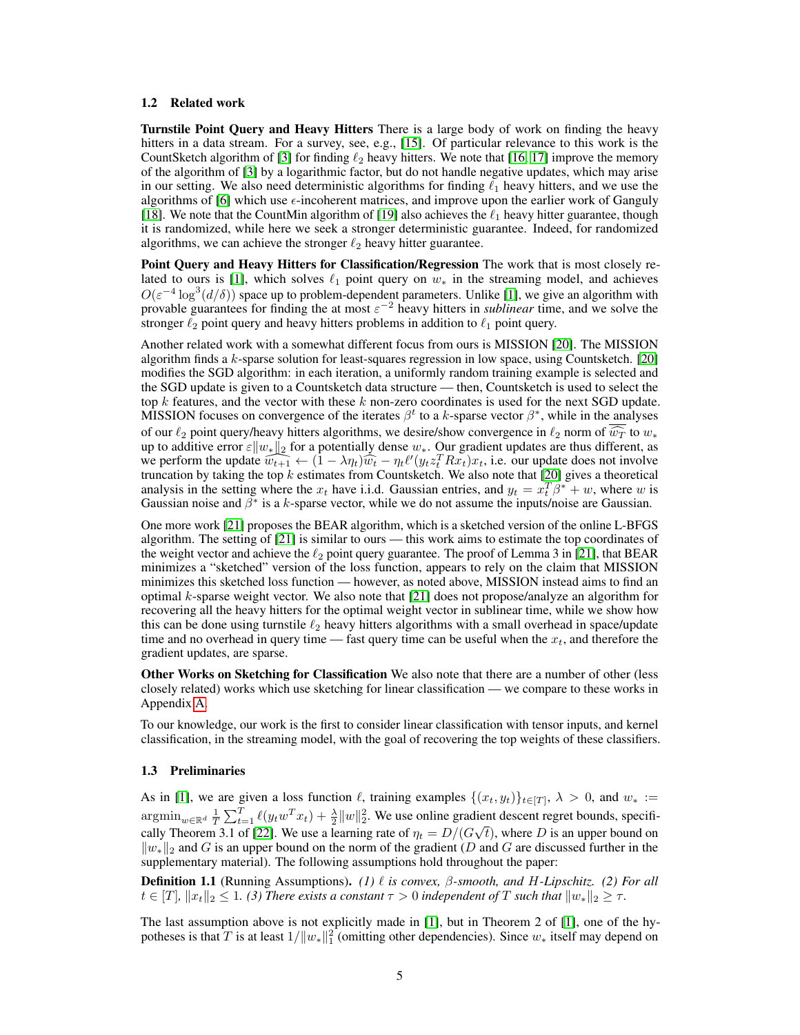#### 1.2 Related work

Turnstile Point Query and Heavy Hitters There is a large body of work on finding the heavy hitters in a data stream. For a survey, see, e.g., [\[15\]](#page-11-1). Of particular relevance to this work is the CountSketch algorithm of [\[3\]](#page-10-2) for finding  $\ell_2$  heavy hitters. We note that [\[16,](#page-11-2) [17\]](#page-11-3) improve the memory of the algorithm of [\[3\]](#page-10-2) by a logarithmic factor, but do not handle negative updates, which may arise in our setting. We also need deterministic algorithms for finding  $\ell_1$  heavy hitters, and we use the algorithms of [\[6\]](#page-10-5) which use  $\epsilon$ -incoherent matrices, and improve upon the earlier work of Ganguly [\[18\]](#page-11-4). We note that the CountMin algorithm of [\[19\]](#page-11-5) also achieves the  $\ell_1$  heavy hitter guarantee, though it is randomized, while here we seek a stronger deterministic guarantee. Indeed, for randomized algorithms, we can achieve the stronger  $\ell_2$  heavy hitter guarantee.

Point Query and Heavy Hitters for Classification/Regression The work that is most closely re-lated to ours is [\[1\]](#page-10-0), which solves  $\ell_1$  point query on  $w_*$  in the streaming model, and achieves  $O(\varepsilon^{-4} \log^3(d/\delta))$  space up to problem-dependent parameters. Unlike [\[1\]](#page-10-0), we give an algorithm with provable guarantees for finding the at most  $\varepsilon^{-2}$  heavy hitters in *sublinear* time, and we solve the stronger  $\ell_2$  point query and heavy hitters problems in addition to  $\ell_1$  point query.

Another related work with a somewhat different focus from ours is MISSION [\[20\]](#page-11-6). The MISSION algorithm finds a k-sparse solution for least-squares regression in low space, using Countsketch. [\[20\]](#page-11-6) modifies the SGD algorithm: in each iteration, a uniformly random training example is selected and the SGD update is given to a Countsketch data structure — then, Countsketch is used to select the top  $k$  features, and the vector with these  $k$  non-zero coordinates is used for the next SGD update. MISSION focuses on convergence of the iterates  $\beta^t$  to a k-sparse vector  $\beta^*$ , while in the analyses of our  $\ell_2$  point query/heavy hitters algorithms, we desire/show convergence in  $\ell_2$  norm of  $\widehat{\widehat{w_1}}$  to  $w_*$ up to additive error  $\varepsilon \|w_*\|_2$  for a potentially dense  $w_*$ . Our gradient updates are thus different, as we perform the update  $\overline{\hat{w}_{t+1}} \leftarrow (1 - \lambda \eta_t) \overline{\hat{w}_t} - \eta_t \ell' (y_t z_t^T R x_t) x_t$ , i.e. our update does not involve truncation by taking the top  $k$  estimates from Countsketch. We also note that [\[20\]](#page-11-6) gives a theoretical analysis in the setting where the  $x_t$  have i.i.d. Gaussian entries, and  $y_t = x_t^T \beta^* + w$ , where w is Gaussian noise and  $\beta^*$  is a k-sparse vector, while we do not assume the inputs/noise are Gaussian.

One more work [\[21\]](#page-11-7) proposes the BEAR algorithm, which is a sketched version of the online L-BFGS algorithm. The setting of [\[21\]](#page-11-7) is similar to ours — this work aims to estimate the top coordinates of the weight vector and achieve the  $\ell_2$  point query guarantee. The proof of Lemma 3 in [\[21\]](#page-11-7), that BEAR minimizes a "sketched" version of the loss function, appears to rely on the claim that MISSION minimizes this sketched loss function — however, as noted above, MISSION instead aims to find an optimal  $k$ -sparse weight vector. We also note that [\[21\]](#page-11-7) does not propose/analyze an algorithm for recovering all the heavy hitters for the optimal weight vector in sublinear time, while we show how this can be done using turnstile  $\ell_2$  heavy hitters algorithms with a small overhead in space/update time and no overhead in query time — fast query time can be useful when the  $x_t$ , and therefore the gradient updates, are sparse.

Other Works on Sketching for Classification We also note that there are a number of other (less closely related) works which use sketching for linear classification — we compare to these works in Appendix [A.](#page--1-0)

To our knowledge, our work is the first to consider linear classification with tensor inputs, and kernel classification, in the streaming model, with the goal of recovering the top weights of these classifiers.

#### <span id="page-4-0"></span>1.3 Preliminaries

As in [\[1\]](#page-10-0), we are given a loss function  $\ell$ , training examples  $\{(x_t, y_t)\}_{t\in[T]}, \lambda > 0$ , and  $w_* :=$  $\operatorname*{argmin}_{w \in \mathbb{R}^d} \frac{1}{T} \sum_{t=1}^T \ell(y_t w^T x_t) + \frac{\lambda}{2} \|w\|_2^2$ . We use online gradient descent regret bounds, specifi-cally Theorem 3.1 of [\[22\]](#page-11-8). We use a learning rate of  $\eta_t = D/(G\sqrt{t})$ , where D is an upper bound on  $\|w_*\|_2$  and G is an upper bound on the norm of the gradient (D and G are discussed further in the supplementary material). The following assumptions hold throughout the paper:

<span id="page-4-1"></span>Definition 1.1 (Running Assumptions). *(1)* ` *is convex,* β*-smooth, and* H*-Lipschitz. (2) For all*  $t \in [T]$ ,  $||x_t||_2 \leq 1$ . (3) There exists a constant  $\tau > 0$  independent of T such that  $||w_*||_2 \geq \tau$ .

The last assumption above is not explicitly made in [\[1\]](#page-10-0), but in Theorem 2 of [\[1\]](#page-10-0), one of the hypotheses is that T is at least  $1/||w_*||_1^2$  (omitting other dependencies). Since  $w_*$  itself may depend on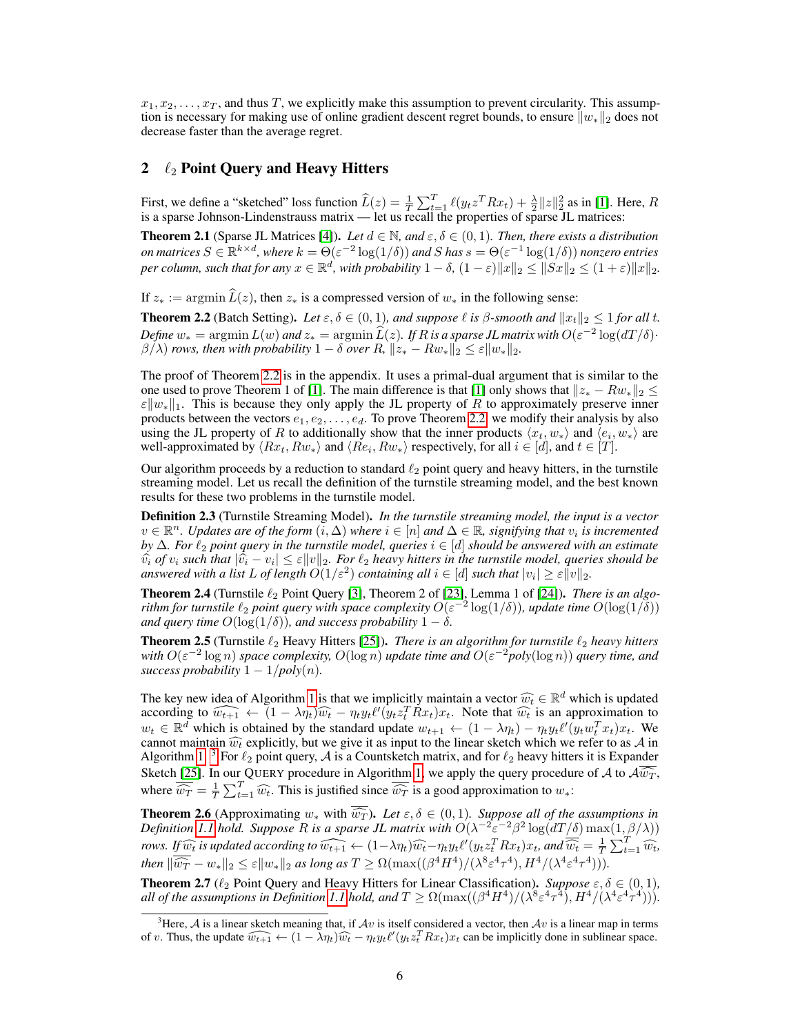$x_1, x_2, \ldots, x_T$ , and thus T, we explicitly make this assumption to prevent circularity. This assumption is necessary for making use of online gradient descent regret bounds, to ensure  $||w_*||_2$  does not decrease faster than the average regret.

# 2  $\ell_2$  Point Query and Heavy Hitters

First, we define a "sketched" loss function  $\widehat{L}(z) = \frac{1}{T} \sum_{t=1}^{T} \ell(y_t z^T R x_t) + \frac{\lambda}{2} ||z||_2^2$  as in [\[1\]](#page-10-0). Here, R is a sparse Johnson-Lindenstrauss matrix — let us recall the properties of sparse JL matrices:

**Theorem 2.1** (Sparse JL Matrices [\[4\]](#page-10-3)). Let  $d \in \mathbb{N}$ , and  $\varepsilon, \delta \in (0, 1)$ . Then, there exists a distribution *on matrices*  $S \in \mathbb{R}^{k \times d}$ , where  $k = \Theta(\varepsilon^{-2} \log(1/\delta))$  and  $S$  has  $s = \Theta(\varepsilon^{-1} \log(1/\delta))$  nonzero entries  $p$ er column, such that for any  $x \in \mathbb{R}^d$ , with probability  $1-\delta$ ,  $(1-\varepsilon)\|x\|_2 \leq \|Sx\|_2 \leq (1+\varepsilon)\|x\|_2$ .

If  $z_* := \operatorname{argmin} \tilde{L}(z)$ , then  $z_*$  is a compressed version of  $w_*$  in the following sense:

<span id="page-5-0"></span>**Theorem 2.2** (Batch Setting). Let  $\varepsilon, \delta \in (0, 1)$ , and suppose  $\ell$  is  $\beta$ -smooth and  $||x_t||_2 \leq 1$  for all t. *Define*  $w_* = \operatorname{argmin}_{L}(w)$  *and*  $z_* = \operatorname{argmin}_{L}(z)$ *. If* R *is a sparse JL matrix with*  $O(\varepsilon^{-2} \log(dT/\delta) \cdot$  $\beta(\lambda)$  *rows, then with probability*  $1 - \delta$  *over*  $R$ ,  $||z_* - Rw_*||_2 \leq \varepsilon ||w_*||_2$ .

The proof of Theorem [2.2](#page-5-0) is in the appendix. It uses a primal-dual argument that is similar to the one used to prove Theorem 1 of [\[1\]](#page-10-0). The main difference is that [1] only shows that  $||z_* - Rw_*||_2 \le$  $\varepsilon ||w_*||_1$ . This is because they only apply the JL property of R to approximately preserve inner products between the vectors  $e_1, e_2, \ldots, e_d$ . To prove Theorem [2.2,](#page-5-0) we modify their analysis by also using the JL property of R to additionally show that the inner products  $\langle x_t, w_* \rangle$  and  $\langle e_i, w_* \rangle$  are well-approximated by  $\langle Rx_t, Rw_* \rangle$  and  $\langle Re_i, Rw_* \rangle$  respectively, for all  $i \in [d]$ , and  $t \in [T]$ .

Our algorithm proceeds by a reduction to standard  $\ell_2$  point query and heavy hitters, in the turnstile streaming model. Let us recall the definition of the turnstile streaming model, and the best known results for these two problems in the turnstile model.

Definition 2.3 (Turnstile Streaming Model). *In the turnstile streaming model, the input is a vector*  $v \in \mathbb{R}^n$ . Updates are of the form  $(i, \Delta)$  where  $i \in [n]$  and  $\Delta \in \mathbb{R}$ , signifying that  $v_i$  is incremented *by*  $\Delta$ *. For*  $\ell_2$  *point query in the turnstile model, queries*  $i \in [d]$  *should be answered with an estimate*  $\hat{v}_i$  *of*  $v_i$  such that  $|\hat{v}_i - v_i| \le \varepsilon ||v||_2$ . For  $\ell_2$  heavy hitters in the turnstile model, queries should be answered with a list L of length  $O(1/\varepsilon^2)$  containing all  $i \in [d]$  such that  $|v_i| > \varepsilon ||v||_2$ answered with a list L of length  $O(1/\varepsilon^2)$  containing all  $i \in [d]$  such that  $|v_i| \geq \varepsilon ||v||_2$ .

<span id="page-5-2"></span>**Theorem 2.4** (Turnstile  $\ell_2$  Point Query [\[3\]](#page-10-2), Theorem 2 of [\[23\]](#page-11-9), Lemma 1 of [\[24\]](#page-11-10)). *There is an algorithm for turnstile*  $\ell_2$  *point query with space complexity*  $O(\varepsilon^{-2} \log(1/\delta))$ *, update time*  $O(\log(1/\delta))$ *and query time*  $O(log(1/\delta))$ *, and success probability*  $1 - \delta$ *.* 

<span id="page-5-3"></span>**Theorem 2.5** (Turnstile  $\ell_2$  Heavy Hitters [\[25\]](#page-11-11)). *There is an algorithm for turnstile*  $\ell_2$  *heavy hitters* with  $O(\varepsilon^{-2} \log n)$  *space complexity,*  $O(\log n)$  *update time and*  $O(\varepsilon^{-2} \text{poly}(\log n))$  *query time, and success probability*  $1 - 1/poly(n)$ *.* 

The key new idea of Algorithm [1](#page-6-0) is that we implicitly maintain a vector  $\widehat{w}_t \in \mathbb{R}^d$  which is updated according to  $\widehat{w}_{t+1} \leftarrow (1 - \lambda n) \widehat{w}_t - n \lambda t \ell' (u \lambda^T R x) x$ . Note that  $\widehat{w}_t$  is an approximation to according to  $\widehat{w_{t+1}} \leftarrow (1 - \lambda \eta_t) \widehat{w_t} - \eta_t y_t \ell' (y_t z_t^T \dot{R} x_t) x_t$ . Note that  $\widehat{w_t}$  is an approximation to  $w_t \in \mathbb{R}^d$  which is obtained by the standard update  $w_{t+1} \leftarrow (1 - \lambda \eta_t) - \eta_t y_t \ell' (y_t w_t^T x_t) x_t$ . We cannot maintain  $\widehat{w_t}$  explicitly, but we give it as input to the linear sketch which we refer to as A in Algorithm [1.](#page-6-0) <sup>[3](#page-5-1)</sup> For  $\ell_2$  point query, A is a Countsketch matrix, and for  $\ell_2$  heavy hitters it is Expander Sketch [\[25\]](#page-11-11). In our QUERY procedure in Algorithm [1,](#page-6-0) we apply the query procedure of A to  $\mathcal{A}\widehat{w_T}$ , where  $\widehat{\overline{w}_T} = \frac{1}{T} \sum_{t=1}^T \widehat{w_t}$ . This is justified since  $\widehat{\overline{w}_T}$  is a good approximation to  $w_*$ :

<span id="page-5-4"></span>**Theorem 2.6** (Approximating  $w_*$  with  $\widehat{w_T}$ ). Let  $\varepsilon, \delta \in (0, 1)$ . Suppose all of the assumptions in Definition [1.1](#page-4-1) hold. Suppose R is a sparse JL matrix with  $O(\lambda^{-2}\varepsilon^{-2}\beta^2 \log(dT/\delta) \max(1, \beta/\lambda))$ *rows.* If  $\widehat{w_t}$  is updated according to  $\widehat{w_{t+1}} \leftarrow (1-\lambda\eta_t)\widehat{w_t} - \eta_t y_t \ell'(y_t z_t^T R x_t) x_t$ , and  $\widehat{\overline{w_t}} = \frac{1}{T} \sum_{t=1}^T \widehat{w_t}$ , *then*  $\|\widehat{w_T} - w_*\|_2 \leq \varepsilon \|w_*\|_2$  *as long as*  $T \geq \Omega(\max((\beta^4 H^4)/(\lambda^8 \varepsilon^4 \tau^4), H^4/(\lambda^4 \varepsilon^4 \tau^4))).$ 

<span id="page-5-5"></span>**Theorem 2.7** ( $\ell_2$  Point Query and Heavy Hitters for Linear Classification). *Suppose*  $\varepsilon, \delta \in (0, 1)$ *, all of the assumptions in Definition [1.1](#page-4-1) hold, and*  $T \ge \Omega(\max((\beta^4 H^4)/(\lambda^8 \varepsilon^4 \tau^4), H^4/(\lambda^4 \varepsilon^4 \tau^4))).$ 

<span id="page-5-1"></span><sup>&</sup>lt;sup>3</sup>Here, A is a linear sketch meaning that, if  $Av$  is itself considered a vector, then  $Av$  is a linear map in terms of v. Thus, the update  $\widehat{w_{t+1}} \leftarrow (1 - \lambda \eta_t) \widehat{w_t} - \eta_t y_t \ell'(y_t z_t^T R x_t) x_t$  can be implicitly done in sublinear space.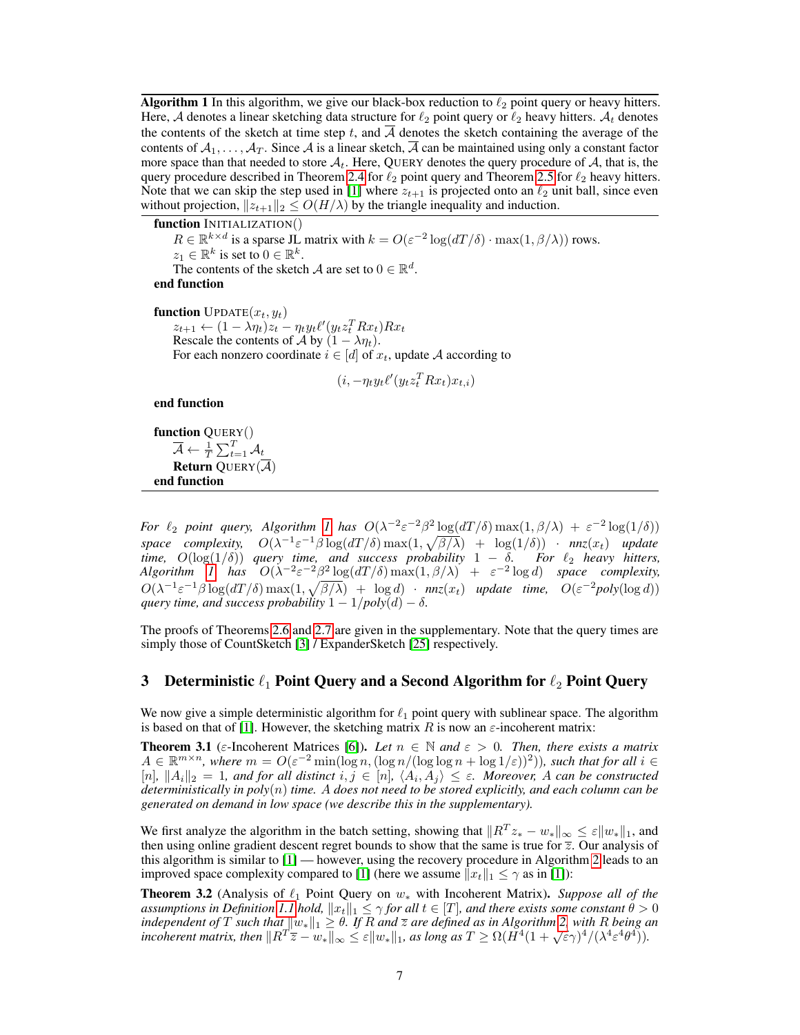Algorithm 1 In this algorithm, we give our black-box reduction to  $\ell_2$  point query or heavy hitters. Here, A denotes a linear sketching data structure for  $\ell_2$  point query or  $\ell_2$  heavy hitters.  $A_t$  denotes the contents of the sketch at time step t, and  $\overline{A}$  denotes the sketch containing the average of the contents of  $A_1, \ldots, A_T$ . Since A is a linear sketch,  $\overline{A}$  can be maintained using only a constant factor more space than that needed to store  $A_t$ . Here, QUERY denotes the query procedure of A, that is, the query procedure described in Theorem [2.4](#page-5-2) for  $\ell_2$  point query and Theorem [2.5](#page-5-3) for  $\ell_2$  heavy hitters. Note that we can skip the step used in [\[1\]](#page-10-0) where  $z_{t+1}$  is projected onto an  $\ell_2$  unit ball, since even without projection,  $||z_{t+1}||_2 \le O(H/\lambda)$  by the triangle inequality and induction.

<span id="page-6-0"></span>function INITIALIZATION()

 $R \in \mathbb{R}^{k \times d}$  is a sparse JL matrix with  $k = O(\varepsilon^{-2} \log(dT/\delta) \cdot \max(1, \beta/\lambda))$  rows.  $z_1 \in \mathbb{R}^k$  is set to  $0 \in \mathbb{R}^k$ . The contents of the sketch A are set to  $0 \in \mathbb{R}^d$ . end function

function  $\text{UPDATE}(x_t, y_t)$  $z_{t+1} \leftarrow (1 - \lambda \eta_t) z_t - \eta_t y_t \ell'(y_t z_t^T R x_t) R x_t$ Rescale the contents of  $\mathcal{A}$  by  $(1 - \lambda \eta_t)$ . For each nonzero coordinate  $i \in [d]$  of  $x_t$ , update A according to

$$
(i, -\eta_t y_t \ell' (y_t z_t^T R x_t) x_{t,i})
$$

end function

function QUERY()  $\overline{\mathcal{A}} \leftarrow \frac{1}{T} \sum_{t=1}^T \mathcal{A}_t$ **Return** QUERY( $\overline{A}$ ) end function

*For*  $\ell_2$  *point query, Algorithm [1](#page-6-0) has*  $O(\lambda^{-2} \varepsilon^{-2} \beta^2 \log(dT/\delta) \max(1, \beta/\lambda) + \varepsilon^{-2} \log(1/\delta))$ *space complexity,*  $O(\lambda^{-1} \varepsilon^{-1} \beta \log(dT/\delta) \max(1, \sqrt{\beta/\lambda}) + \log(1/\delta)) \cdot nnz(x_t)$  *update time,*  $O(log(1/\delta))$  *query time, and success probability*  $1 - \delta$ . For  $\ell_2$  *heavy hitters, Algorithm I* has  $O(\lambda^{-2} \varepsilon^{-2} \beta^2 \log(dT/\delta) \max(1, \beta/\lambda) + \varepsilon^{-2} \log d)$  *space complexity,*  $O(\lambda^{-1} \varepsilon^{-1} \beta \log(dT/\delta) \max(1, \sqrt{\beta/\lambda}) + \log d)$  ·  $nnz(x_t)$  *update time,*  $O(\varepsilon^{-2} poly(\log d))$ *query time, and success probability*  $1 - 1/poly(d) - \delta$ .

The proofs of Theorems [2.6](#page-5-4) and [2.7](#page-5-5) are given in the supplementary. Note that the query times are simply those of CountSketch [\[3\]](#page-10-2) / ExpanderSketch [\[25\]](#page-11-11) respectively.

# 3 Deterministic  $\ell_1$  Point Query and a Second Algorithm for  $\ell_2$  Point Query

We now give a simple deterministic algorithm for  $\ell_1$  point query with sublinear space. The algorithm is based on that of [\[1\]](#page-10-0). However, the sketching matrix R is now an  $\varepsilon$ -incoherent matrix:

**Theorem 3.1** ( $\varepsilon$ -Incoherent Matrices [\[6\]](#page-10-5)). Let  $n \in \mathbb{N}$  and  $\varepsilon > 0$ . Then, there exists a matrix  $A \in \mathbb{R}^{m \times n}$ , where  $m = O(\varepsilon^{-2} \min(\log n, (\log n/(\log \log n + \log 1/\varepsilon))^2))$ , such that for all  $i \in$  $[n], \|A_i\|_2 = 1$ , and for all distinct  $i, j \in [n], \langle A_i, A_j \rangle \leq \varepsilon$ . Moreover, A can be constructed *deterministically in poly*(n) *time.* A *does not need to be stored explicitly, and each column can be generated on demand in low space (we describe this in the supplementary).*

We first analyze the algorithm in the batch setting, showing that  $||R^Tz_* - w_*||_{\infty} \leq \varepsilon ||w_*||_1$ , and then using online gradient descent regret bounds to show that the same is true for  $\overline{z}$ . Our analysis of this algorithm is similar to [\[1\]](#page-10-0) — however, using the recovery procedure in Algorithm [2](#page-7-0) leads to an improved space complexity compared to [\[1\]](#page-10-0) (here we assume  $||x_t||_1 \leq \gamma$  as in [1]):

**Theorem 3.2** (Analysis of  $\ell_1$  Point Query on  $w_*$  with Incoherent Matrix). *Suppose all of the assumptions in Definition* [1.1](#page-4-1) *hold,*  $||x_t||_1 \leq \gamma$  *for all*  $t \in [T]$ *, and there exists some constant*  $\theta > 0$  $i$ *ndependent of*  $T$  *such that*  $\| w_* \|_1 \geq \theta$ . If  $R$  *and*  $\overline{z}$  *are defined as in Algorithm [2,](#page-7-0) with*  $R$  *being an incoherent matrix, then*  $||R^T \overline{z} - w_*||_{\infty} \leq \varepsilon ||w_*||_1$ *, as long as*  $T \geq \Omega(H^4(1 + \sqrt{\varepsilon}\gamma)^4/(\lambda^4 \varepsilon^4 \theta^4))$ .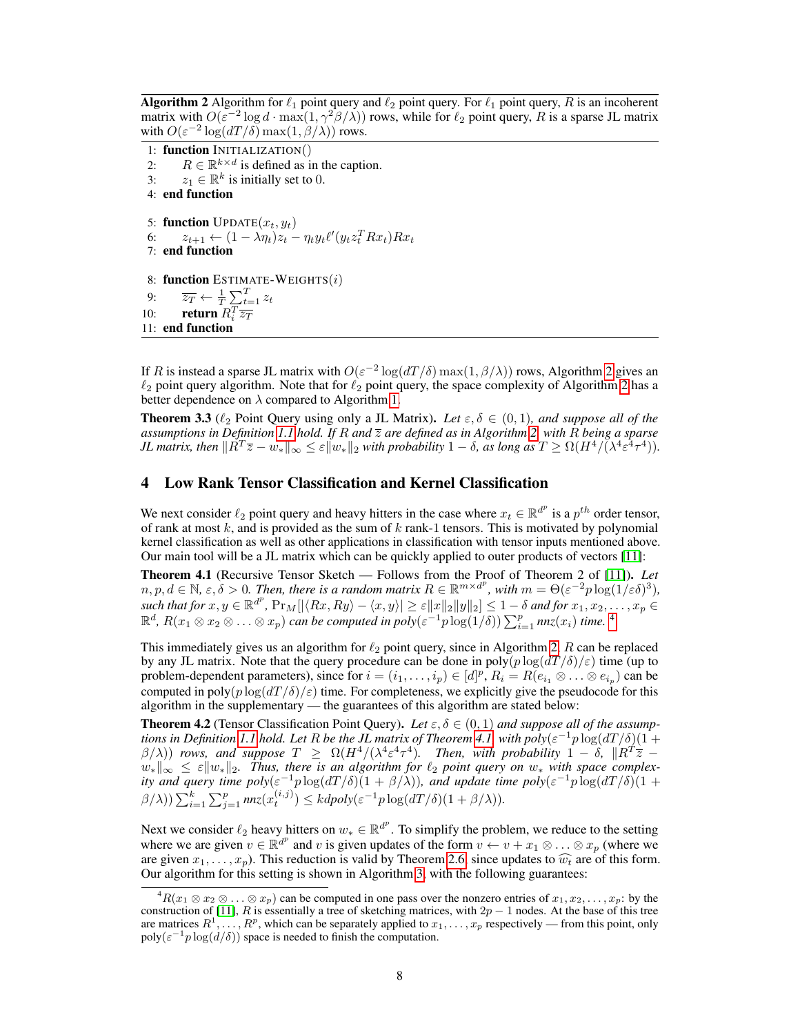**Algorithm 2** Algorithm for  $\ell_1$  point query and  $\ell_2$  point query. For  $\ell_1$  point query, R is an incoherent matrix with  $O(\varepsilon^{-2} \log d \cdot \max(1, \gamma^2 \beta/\lambda))$  rows, while for  $\ell_2$  point query, R is a sparse JL matrix with  $O(\varepsilon^{-2} \log(dT/\delta) \max(1, \beta/\lambda))$  rows.

```
1: function INITIALIZATION()
2: R \in \mathbb{R}^{k \times d} is defined as in the caption.
3: z_1 \in \mathbb{R}^k is initially set to 0.
4: end function
5: function \text{UPDATE}(x_t, y_t)6: z_{t+1} \leftarrow (1 - \lambda \eta_t) z_t - \eta_t y_t \ell'(y_t z_t^T R x_t) R x_t7: end function
8: function ESTIMATE-WEIGHTS(i)9: \overline{z_T} \leftarrow \frac{1}{T} \sum_{t=1}^T z_t10: return R_i^T \overline{z_I}11: end function
```
If R is instead a sparse JL matrix with  $O(\varepsilon^{-2} \log(dT/\delta) \max(1, \beta/\lambda))$  rows, Algorithm [2](#page-7-0) gives an  $\ell_2$  point query algorithm. Note that for  $\ell_2$  point query, the space complexity of Algorithm [2](#page-7-0) has a better dependence on  $\lambda$  compared to Algorithm [1.](#page-6-0)

**Theorem 3.3** ( $\ell_2$  Point Query using only a JL Matrix). Let  $\varepsilon, \delta \in (0, 1)$ *, and suppose all of the assumptions in Definition [1.1](#page-4-1) hold. If* R *and* z *are defined as in Algorithm [2,](#page-7-0) with* R *being a sparse JL* matrix, then  $\|R^T\overline{z} - w_*\|_{\infty} \leq \varepsilon \|w_*\|_2$  with probability  $1 - \delta$ , as long as  $T \geq \Omega(H^4/(\lambda^4 \varepsilon^4 \tau^4))$ .

# 4 Low Rank Tensor Classification and Kernel Classification

We next consider  $\ell_2$  point query and heavy hitters in the case where  $x_t \in \mathbb{R}^{d^p}$  is a  $p^{th}$  order tensor, of rank at most  $k$ , and is provided as the sum of  $k$  rank-1 tensors. This is motivated by polynomial kernel classification as well as other applications in classification with tensor inputs mentioned above. Our main tool will be a JL matrix which can be quickly applied to outer products of vectors [\[11\]](#page-10-10):

<span id="page-7-2"></span>Theorem 4.1 (Recursive Tensor Sketch — Follows from the Proof of Theorem 2 of [\[11\]](#page-10-10)). *Let*  $n, p, d \in \mathbb{N}, \varepsilon, \delta > 0$ . Then, there is a random matrix  $R \in \mathbb{R}^{m \times d^p}$ , with  $m = \Theta(\varepsilon^{-2} p \log(1/\varepsilon \delta)^3)$ ,  $\|A\|_2$  such that for  $x,y\in\mathbb{R}^{d^p}$ ,  $\Pr_M[|\langle Rx, Ry \rangle - \langle x, y \rangle| \geq \varepsilon \|x\|_2 \|y\|_2 ] \leq 1-\delta$  and for  $x_1,x_2,\ldots,x_p\in\mathbb{R}^{d^p}$  $\mathbb{R}^d$ ,  $R(x_1 \otimes x_2 \otimes \ldots \otimes x_p)$  *can be computed in poly* $(\varepsilon^{-1}p \log(1/\delta)) \sum_{i=1}^p niz(x_i)$  *time.* <sup>[4](#page-7-1)</sup>

This immediately gives us an algorithm for  $\ell_2$  point query, since in Algorithm [2,](#page-7-0) R can be replaced by any JL matrix. Note that the query procedure can be done in  $poly(p \log(dT/\delta)/\varepsilon)$  time (up to problem-dependent parameters), since for  $i = (i_1, \ldots, i_p) \in [d]^p$ ,  $R_i = R(e_{i_1} \otimes \ldots \otimes e_{i_p})$  can be computed in poly( $p \log(dT/\delta)/\varepsilon$ ) time. For completeness, we explicitly give the pseudocode for this algorithm in the supplementary — the guarantees of this algorithm are stated below:

**Theorem 4.2** (Tensor Classification Point Query). Let  $\varepsilon, \delta \in (0, 1)$  and suppose all of the assump-*tions in Definition [1.1](#page-4-1) hold. Let R be the JL matrix of Theorem [4.1,](#page-7-2) with*  $\bar{poly}(\varepsilon^{-1}p\log(dT/\delta)(1+\delta))$  $(\beta/\lambda)$ ) rows, and suppose  $T \geq \Omega(H^4/(\lambda^4 \varepsilon^4 \tau^4))$ . Then, with probability  $1 - \delta$ ,  $\|R^T \overline{z} - \delta\|$  $w_*\rVert_{\infty} \leq \varepsilon \rVert w_*\rVert_2$ . Thus, there is an algorithm for  $\ell_2$  point query on  $w_*$  with space complex*ity and query time*  $poly(\varepsilon^{-1}p \log(dT/\delta)(1+\beta/\lambda))$ *, and update time*  $poly(\varepsilon^{-1}p \log(dT/\delta)(1+\beta/\lambda))$  $\beta(\lambda)$ )  $\sum_{i=1}^k \sum_{j=1}^p$   $nnz(x_t^{(i,j)}) \leq kdpoly(\varepsilon^{-1}p \log(dT/\delta)(1+\beta/\lambda)).$ 

Next we consider  $\ell_2$  heavy hitters on  $w_* \in \mathbb{R}^{d^p}$ . To simplify the problem, we reduce to the setting where we are given  $v \in \mathbb{R}^{d^p}$  and v is given updates of the form  $v \leftarrow v + x_1 \otimes \ldots \otimes x_p$  (where we are given  $x_1, \ldots, x_p$ ). This reduction is valid by Theorem [2.6,](#page-5-4) since updates to  $\widehat{w_t}$  are of this form. Our algorithm for this setting is shown in Algorithm [3,](#page-9-0) with the following guarantees:

<span id="page-7-1"></span> ${}^4R(x_1 \otimes x_2 \otimes \ldots \otimes x_p)$  can be computed in one pass over the nonzero entries of  $x_1, x_2, \ldots, x_p$ : by the construction of [\[11\]](#page-10-10), R is essentially a tree of sketching matrices, with  $2p - 1$  nodes. At the base of this tree are matrices  $R^1, \ldots, R^p$ , which can be separately applied to  $x_1, \ldots, x_p$  respectively — from this point, only  $poly(\varepsilon^{-1} p \log(d/\delta))$  space is needed to finish the computation.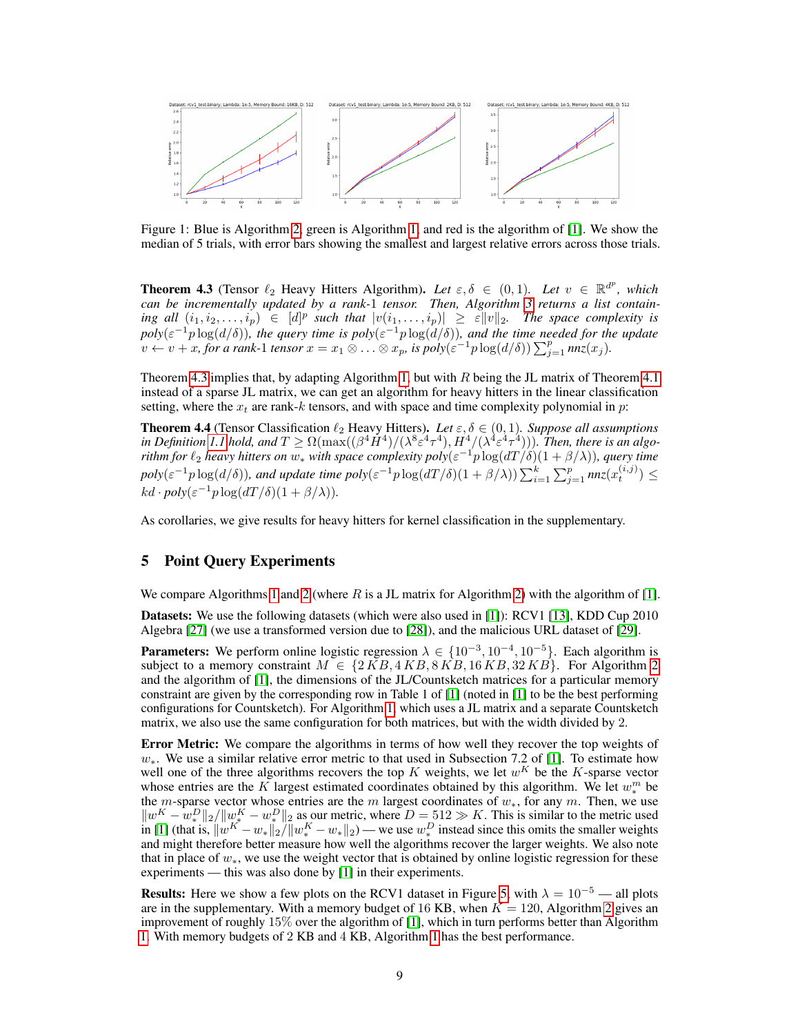

Figure 1: Blue is Algorithm [2,](#page-7-0) green is Algorithm [1,](#page-6-0) and red is the algorithm of [\[1\]](#page-10-0). We show the median of 5 trials, with error bars showing the smallest and largest relative errors across those trials.

<span id="page-8-0"></span>**Theorem 4.3** (Tensor  $\ell_2$  Heavy Hitters Algorithm). Let  $\varepsilon, \delta \in (0, 1)$ . Let  $v \in \mathbb{R}^{d^p}$ , which *can be incrementally updated by a rank-*1 *tensor. Then, Algorithm [3](#page-9-0) returns a list contain-* $\|ing\|all\ (i_1,i_2,\ldots,i_p)\ \in\ [d]^p$  such that  $|v(i_1,\ldots,i_p)|\ \geq\ \varepsilon\|v\|_2$ . The space complexity is  $poly(\varepsilon^{-1}p\log(d/\delta))$ , the query time is  $poly(\varepsilon^{-1}p\log(d/\delta))$ , and the time needed for the update  $v \leftarrow v + x$ , for a rank-1 tensor  $x = x_1 \otimes \ldots \otimes x_p$ , is  $poly(\varepsilon^{-1}p \log(d/\delta)) \sum_{j=1}^p nnz(x_j)$ .

Theorem [4.3](#page-8-0) implies that, by adapting Algorithm [1,](#page-6-0) but with R being the JL matrix of Theorem [4.1](#page-7-2) instead of a sparse JL matrix, we can get an algorithm for heavy hitters in the linear classification setting, where the  $x_t$  are rank-k tensors, and with space and time complexity polynomial in p:

**Theorem 4.4** (Tensor Classification  $\ell_2$  Heavy Hitters). Let  $\varepsilon, \delta \in (0, 1)$ . Suppose all assumptions in Definition [1.1](#page-4-1) hold, and  $T \ge \Omega(\max((\beta^4 \dot{H}^4)/(\lambda^8 \varepsilon^4 \tau^4), H^4/(\lambda^4 \varepsilon^4 \tau^4)))$ . Then, there is an algo*rithm for*  $\ell_2$  *heavy hitters on*  $w_*$  *with space complexity*  $poly(\varepsilon^{-1}p \log(dT/\delta)(1+\beta/\lambda))$ *, query time*  $poly(\varepsilon^{-1}p\log(d/\delta))$ , and update time  $poly(\varepsilon^{-1}p\log(dT/\delta)(1+\beta/\lambda))\sum_{i=1}^k\sum_{j=1}^p$ nnz $(x_t^{(i,j)}) \leq$  $kd \cdot poly(\varepsilon^{-1}p \log(dT/\delta)(1+\beta/\lambda)).$ 

As corollaries, we give results for heavy hitters for kernel classification in the supplementary.

# <span id="page-8-1"></span>5 Point Query Experiments

We compare Algorithms [1](#page-6-0) and [2](#page-7-0) (where  $R$  is a JL matrix for Algorithm [2\)](#page-7-0) with the algorithm of [\[1\]](#page-10-0).

Datasets: We use the following datasets (which were also used in [\[1\]](#page-10-0)): RCV1 [\[13\]](#page-10-12), KDD Cup 2010 Algebra [\[27\]](#page-11-12) (we use a transformed version due to [\[28\]](#page-11-13)), and the malicious URL dataset of [\[29\]](#page-12-0).

**Parameters:** We perform online logistic regression  $\lambda \in \{10^{-3}, 10^{-4}, 10^{-5}\}\.$  Each algorithm is subject to a memory constraint  $M \in \{2KB, 4KB, 8KB, 16KB, 32KB\}$ . For Algorithm [2](#page-7-0) and the algorithm of [\[1\]](#page-10-0), the dimensions of the JL/Countsketch matrices for a particular memory constraint are given by the corresponding row in Table 1 of [\[1\]](#page-10-0) (noted in [\[1\]](#page-10-0) to be the best performing configurations for Countsketch). For Algorithm [1,](#page-6-0) which uses a JL matrix and a separate Countsketch matrix, we also use the same configuration for both matrices, but with the width divided by 2.

Error Metric: We compare the algorithms in terms of how well they recover the top weights of  $w_{*}$ . We use a similar relative error metric to that used in Subsection 7.2 of [\[1\]](#page-10-0). To estimate how well one of the three algorithms recovers the top K weights, we let  $w<sup>K</sup>$  be the K-sparse vector whose entries are the K largest estimated coordinates obtained by this algorithm. We let  $w_*^m$  be the m-sparse vector whose entries are the m largest coordinates of  $w_*$ , for any m. Then, we use  $||w^K - w^D_*||_2 / ||w^K_{\nu^*} - w^D_*||_2$  as our metric, where  $D = 512 \gg K$ . This is similar to the metric used in [\[1\]](#page-10-0) (that is,  $\|w^K - w_*\|_2 / \|w_*^K - w_*\|_2$ ) — we use  $w_*^D$  instead since this omits the smaller weights and might therefore better measure how well the algorithms recover the larger weights. We also note that in place of  $w_{*}$ , we use the weight vector that is obtained by online logistic regression for these experiments — this was also done by [\[1\]](#page-10-0) in their experiments.

**Results:** Here we show a few plots on the RCV1 dataset in Figure [5,](#page-8-1) with  $\lambda = 10^{-5}$  — all plots are in the supplementary. With a memory budget of 16 KB, when  $K = 120$ , Algorithm [2](#page-7-0) gives an improvement of roughly 15% over the algorithm of [\[1\]](#page-10-0), which in turn performs better than Algorithm [1.](#page-6-0) With memory budgets of 2 KB and 4 KB, Algorithm [1](#page-6-0) has the best performance.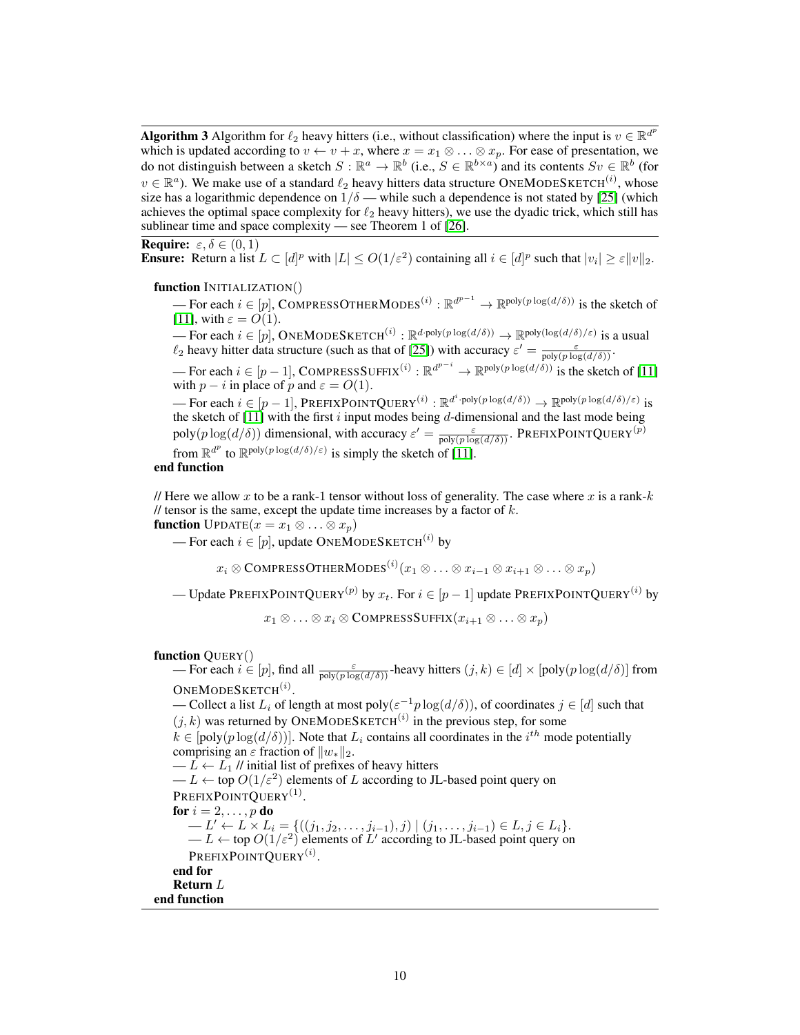**Algorithm 3** Algorithm for  $\ell_2$  heavy hitters (i.e., without classification) where the input is  $v \in \mathbb{R}^{d^p}$ which is updated according to  $v \leftarrow v + x$ , where  $x = x_1 \otimes \ldots \otimes x_p$ . For ease of presentation, we do not distinguish between a sketch  $S : \mathbb{R}^a \to \mathbb{R}^b$  (i.e.,  $S \in \mathbb{R}^{b \times a}$ ) and its contents  $Sv \in \mathbb{R}^b$  (for  $v \in \mathbb{R}^a$ ). We make use of a standard  $\ell_2$  heavy hitters data structure ONEMODESKETCH<sup>(i)</sup>, whose size has a logarithmic dependence on  $1/\delta$  — while such a dependence is not stated by [\[25\]](#page-11-11) (which achieves the optimal space complexity for  $\ell_2$  heavy hitters), we use the dyadic trick, which still has sublinear time and space complexity — see Theorem 1 of [\[26\]](#page-11-14).

<span id="page-9-0"></span>**Require:**  $\varepsilon, \delta \in (0, 1)$ **Ensure:** Return a list  $L \subset [d]^p$  with  $|L| \leq O(1/\varepsilon^2)$  containing all  $i \in [d]^p$  such that  $|v_i| \geq \varepsilon ||v||_2$ .

#### function INITIALIZATION()

— For each  $i \in [p]$ , COMPRESSOTHERMODES<sup>(i)</sup> :  $\mathbb{R}^{d^{p-1}} \to \mathbb{R}^{\text{poly}(p \log(d/\delta))}$  is the sketch of [\[11\]](#page-10-10), with  $\varepsilon = O(1)$ .

— For each  $i \in [p]$ , ONEMODESKETCH<sup>(i)</sup> :  $\mathbb{R}^d$ -poly( $p \log(d/\delta)$ )  $\rightarrow \mathbb{R}$ poly( $\log(d/\delta)/\epsilon$ ) is a usual  $\ell_2$  heavy hitter data structure (such as that of [\[25\]](#page-11-11)) with accuracy  $\varepsilon' = \frac{\varepsilon}{\text{poly}(p \log(d/\delta))}$ .

— For each  $i \in [p-1]$ , COMPRESSSUFFIX<sup>(i)</sup> :  $\mathbb{R}^{d^{p-i}} \to \mathbb{R}^{\text{poly}(p \log(d/\delta))}$  is the sketch of [\[11\]](#page-10-10) with  $p - i$  in place of p and  $\varepsilon = O(1)$ .

— For each  $i \in [p-1]$ , PrefixPOINTQUERY<sup>(*i*)</sup> :  $\mathbb{R}^{d^i \cdot \text{poly}(p \log(d/\delta))}$  →  $\mathbb{R}^{\text{poly}(p \log(d/\delta)/\varepsilon)}$  is the sketch of  $[11]$  with the first i input modes being d-dimensional and the last mode being poly( $p \log(d/\delta)$ ) dimensional, with accuracy  $\varepsilon' = \frac{\varepsilon}{\text{poly}(p \log(d/\delta))}$ . PREFIXPOINTQUERY<sup>(p)</sup> from  $\mathbb{R}^{d^p}$  to  $\mathbb{R}^{\text{poly}(p \log(d/\delta)/\epsilon)}$  is simply the sketch of [\[11\]](#page-10-10).

# end function

// Here we allow x to be a rank-1 tensor without loss of generality. The case where x is a rank-k  $\ell$  tensor is the same, except the update time increases by a factor of  $k$ .

**function**  $\text{UPDATE}(x = x_1 \otimes \ldots \otimes x_p)$ 

— For each  $i \in [p]$ , update ONEMODESKETCH $^{(i)}$  by

 $x_i\otimes\textsf{COMPRESSOTHERMODES}^{(i)}(x_1\otimes\ldots\otimes x_{i-1}\otimes x_{i+1}\otimes\ldots\otimes x_p)$ 

— Update PREFIXPOINTQUERY $^{(p)}$  by  $x_t$ . For  $i\in[p-1]$  update PREFIXPOINTQUERY $^{(i)}$  by

 $x_1 \otimes \ldots \otimes x_i \otimes \text{COMPRESSSUFFIX}(x_{i+1} \otimes \ldots \otimes x_p)$ 

#### function QUERY()

— For each  $i \in [p]$ , find all  $\frac{\varepsilon}{\text{poly}(p \log(d/\delta))}$ -heavy hitters  $(j, k) \in [d] \times [\text{poly}(p \log(d/\delta))]$  from ONEMODESKETCH $^{(i)}$ .

— Collect a list  $L_i$  of length at most poly $(\varepsilon^{-1}p\log(d/\delta))$ , of coordinates  $j \in [d]$  such that  $(j, k)$  was returned by ONEMODESKETCH<sup>(i)</sup> in the previous step, for some

 $k \in [poly(p \log(d/\delta))]$ . Note that  $L_i$  contains all coordinates in the  $i^{th}$  mode potentially comprising an  $\varepsilon$  fraction of  $||w_*||_2$ .

 $- L \leftarrow L_1$  // initial list of prefixes of heavy hitters

 $- L \leftarrow$  top  $O(1/\varepsilon^2)$  elements of L according to JL-based point query on PrefixPointQuery<sup>(1)</sup>.

for  $i = 2, \ldots, p$  do

— L' ← L × L<sub>i</sub> = { $((j_1, j_2, \ldots, j_{i-1}), j)$  |  $(j_1, \ldots, j_{i-1}) \in L, j \in L_i$ }.  $- L \leftarrow$  top  $O(1/\varepsilon^2)$  elements of  $L'$  according to JL-based point query on PrefixPointQuery $^{\left( i\right) }$ . end for

```
Return L
```

```
end function
```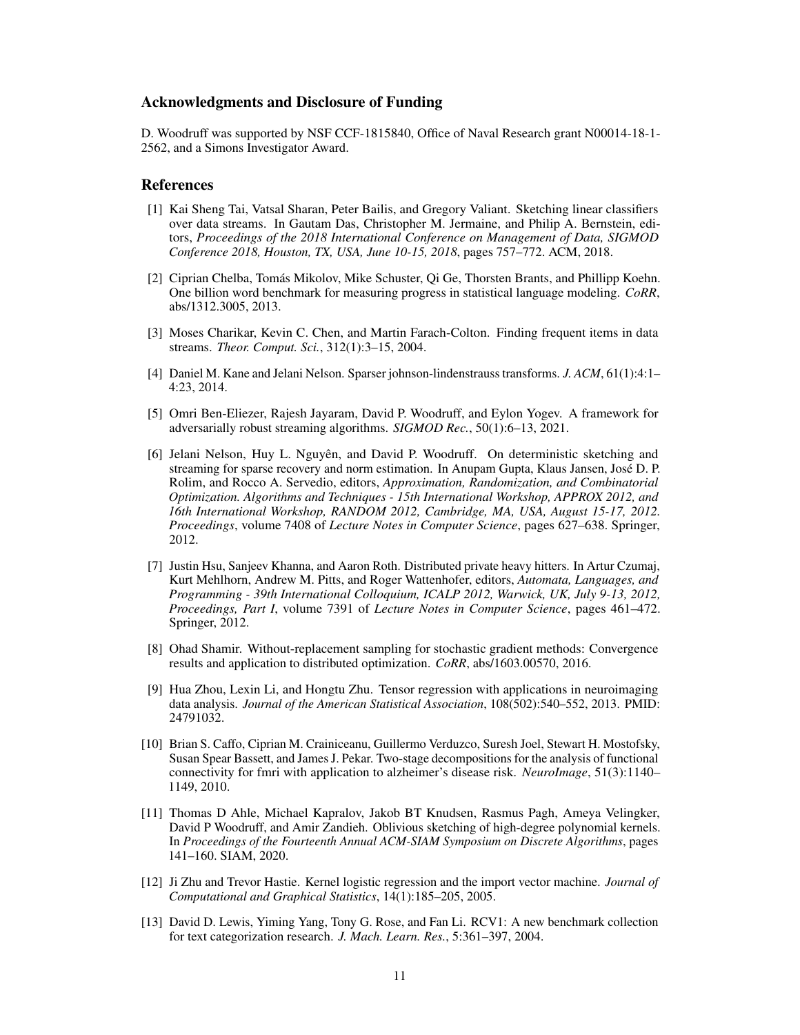# Acknowledgments and Disclosure of Funding

D. Woodruff was supported by NSF CCF-1815840, Office of Naval Research grant N00014-18-1- 2562, and a Simons Investigator Award.

#### References

- <span id="page-10-0"></span>[1] Kai Sheng Tai, Vatsal Sharan, Peter Bailis, and Gregory Valiant. Sketching linear classifiers over data streams. In Gautam Das, Christopher M. Jermaine, and Philip A. Bernstein, editors, *Proceedings of the 2018 International Conference on Management of Data, SIGMOD Conference 2018, Houston, TX, USA, June 10-15, 2018*, pages 757–772. ACM, 2018.
- <span id="page-10-1"></span>[2] Ciprian Chelba, Tomás Mikolov, Mike Schuster, Qi Ge, Thorsten Brants, and Phillipp Koehn. One billion word benchmark for measuring progress in statistical language modeling. *CoRR*, abs/1312.3005, 2013.
- <span id="page-10-2"></span>[3] Moses Charikar, Kevin C. Chen, and Martin Farach-Colton. Finding frequent items in data streams. *Theor. Comput. Sci.*, 312(1):3–15, 2004.
- <span id="page-10-3"></span>[4] Daniel M. Kane and Jelani Nelson. Sparser johnson-lindenstrauss transforms. *J. ACM*, 61(1):4:1– 4:23, 2014.
- <span id="page-10-4"></span>[5] Omri Ben-Eliezer, Rajesh Jayaram, David P. Woodruff, and Eylon Yogev. A framework for adversarially robust streaming algorithms. *SIGMOD Rec.*, 50(1):6–13, 2021.
- <span id="page-10-5"></span>[6] Jelani Nelson, Huy L. Nguyên, and David P. Woodruff. On deterministic sketching and streaming for sparse recovery and norm estimation. In Anupam Gupta, Klaus Jansen, José D. P. Rolim, and Rocco A. Servedio, editors, *Approximation, Randomization, and Combinatorial Optimization. Algorithms and Techniques - 15th International Workshop, APPROX 2012, and 16th International Workshop, RANDOM 2012, Cambridge, MA, USA, August 15-17, 2012. Proceedings*, volume 7408 of *Lecture Notes in Computer Science*, pages 627–638. Springer, 2012.
- <span id="page-10-6"></span>[7] Justin Hsu, Sanjeev Khanna, and Aaron Roth. Distributed private heavy hitters. In Artur Czumaj, Kurt Mehlhorn, Andrew M. Pitts, and Roger Wattenhofer, editors, *Automata, Languages, and Programming - 39th International Colloquium, ICALP 2012, Warwick, UK, July 9-13, 2012, Proceedings, Part I*, volume 7391 of *Lecture Notes in Computer Science*, pages 461–472. Springer, 2012.
- <span id="page-10-7"></span>[8] Ohad Shamir. Without-replacement sampling for stochastic gradient methods: Convergence results and application to distributed optimization. *CoRR*, abs/1603.00570, 2016.
- <span id="page-10-8"></span>[9] Hua Zhou, Lexin Li, and Hongtu Zhu. Tensor regression with applications in neuroimaging data analysis. *Journal of the American Statistical Association*, 108(502):540–552, 2013. PMID: 24791032.
- <span id="page-10-9"></span>[10] Brian S. Caffo, Ciprian M. Crainiceanu, Guillermo Verduzco, Suresh Joel, Stewart H. Mostofsky, Susan Spear Bassett, and James J. Pekar. Two-stage decompositions for the analysis of functional connectivity for fmri with application to alzheimer's disease risk. *NeuroImage*, 51(3):1140– 1149, 2010.
- <span id="page-10-10"></span>[11] Thomas D Ahle, Michael Kapralov, Jakob BT Knudsen, Rasmus Pagh, Ameya Velingker, David P Woodruff, and Amir Zandieh. Oblivious sketching of high-degree polynomial kernels. In *Proceedings of the Fourteenth Annual ACM-SIAM Symposium on Discrete Algorithms*, pages 141–160. SIAM, 2020.
- <span id="page-10-11"></span>[12] Ji Zhu and Trevor Hastie. Kernel logistic regression and the import vector machine. *Journal of Computational and Graphical Statistics*, 14(1):185–205, 2005.
- <span id="page-10-12"></span>[13] David D. Lewis, Yiming Yang, Tony G. Rose, and Fan Li. RCV1: A new benchmark collection for text categorization research. *J. Mach. Learn. Res.*, 5:361–397, 2004.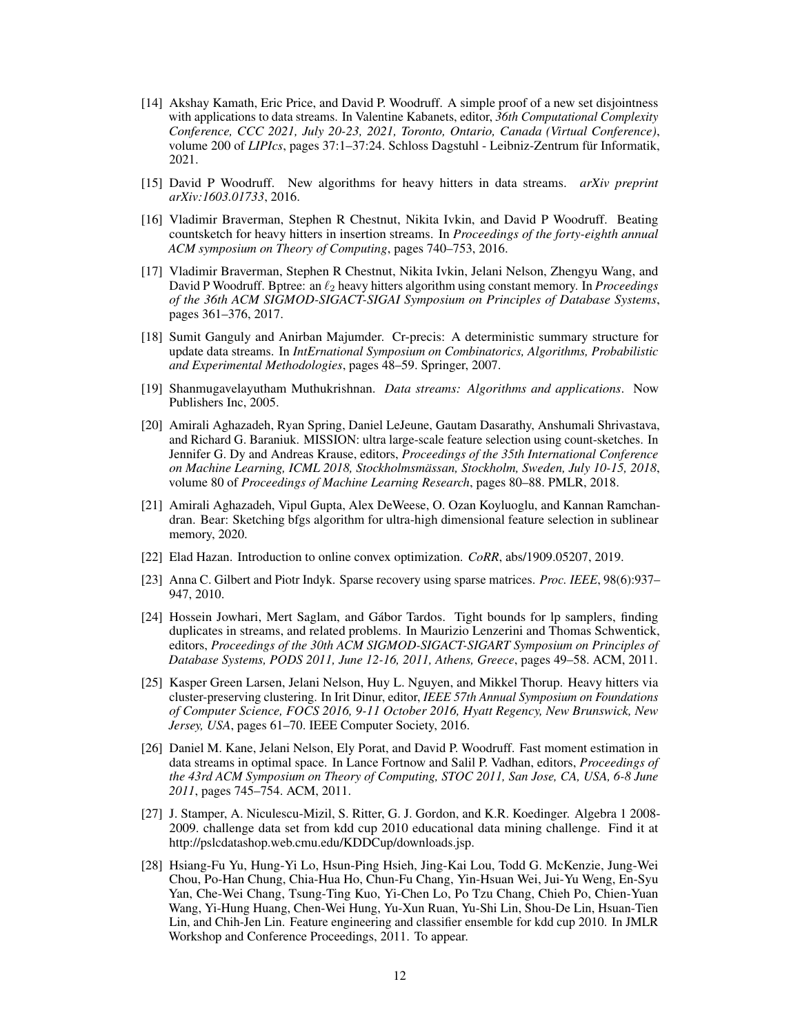- <span id="page-11-0"></span>[14] Akshay Kamath, Eric Price, and David P. Woodruff. A simple proof of a new set disjointness with applications to data streams. In Valentine Kabanets, editor, *36th Computational Complexity Conference, CCC 2021, July 20-23, 2021, Toronto, Ontario, Canada (Virtual Conference)*, volume 200 of *LIPIcs*, pages 37:1–37:24. Schloss Dagstuhl - Leibniz-Zentrum für Informatik, 2021.
- <span id="page-11-1"></span>[15] David P Woodruff. New algorithms for heavy hitters in data streams. *arXiv preprint arXiv:1603.01733*, 2016.
- <span id="page-11-2"></span>[16] Vladimir Braverman, Stephen R Chestnut, Nikita Ivkin, and David P Woodruff. Beating countsketch for heavy hitters in insertion streams. In *Proceedings of the forty-eighth annual ACM symposium on Theory of Computing*, pages 740–753, 2016.
- <span id="page-11-3"></span>[17] Vladimir Braverman, Stephen R Chestnut, Nikita Ivkin, Jelani Nelson, Zhengyu Wang, and David P Woodruff. Bptree: an  $\ell_2$  heavy hitters algorithm using constant memory. In *Proceedings of the 36th ACM SIGMOD-SIGACT-SIGAI Symposium on Principles of Database Systems*, pages 361–376, 2017.
- <span id="page-11-4"></span>[18] Sumit Ganguly and Anirban Majumder. Cr-precis: A deterministic summary structure for update data streams. In *IntErnational Symposium on Combinatorics, Algorithms, Probabilistic and Experimental Methodologies*, pages 48–59. Springer, 2007.
- <span id="page-11-5"></span>[19] Shanmugavelayutham Muthukrishnan. *Data streams: Algorithms and applications*. Now Publishers Inc, 2005.
- <span id="page-11-6"></span>[20] Amirali Aghazadeh, Ryan Spring, Daniel LeJeune, Gautam Dasarathy, Anshumali Shrivastava, and Richard G. Baraniuk. MISSION: ultra large-scale feature selection using count-sketches. In Jennifer G. Dy and Andreas Krause, editors, *Proceedings of the 35th International Conference on Machine Learning, ICML 2018, Stockholmsmässan, Stockholm, Sweden, July 10-15, 2018*, volume 80 of *Proceedings of Machine Learning Research*, pages 80–88. PMLR, 2018.
- <span id="page-11-7"></span>[21] Amirali Aghazadeh, Vipul Gupta, Alex DeWeese, O. Ozan Koyluoglu, and Kannan Ramchandran. Bear: Sketching bfgs algorithm for ultra-high dimensional feature selection in sublinear memory, 2020.
- <span id="page-11-8"></span>[22] Elad Hazan. Introduction to online convex optimization. *CoRR*, abs/1909.05207, 2019.
- <span id="page-11-9"></span>[23] Anna C. Gilbert and Piotr Indyk. Sparse recovery using sparse matrices. *Proc. IEEE*, 98(6):937– 947, 2010.
- <span id="page-11-10"></span>[24] Hossein Jowhari, Mert Saglam, and Gábor Tardos. Tight bounds for lp samplers, finding duplicates in streams, and related problems. In Maurizio Lenzerini and Thomas Schwentick, editors, *Proceedings of the 30th ACM SIGMOD-SIGACT-SIGART Symposium on Principles of Database Systems, PODS 2011, June 12-16, 2011, Athens, Greece*, pages 49–58. ACM, 2011.
- <span id="page-11-11"></span>[25] Kasper Green Larsen, Jelani Nelson, Huy L. Nguyen, and Mikkel Thorup. Heavy hitters via cluster-preserving clustering. In Irit Dinur, editor, *IEEE 57th Annual Symposium on Foundations of Computer Science, FOCS 2016, 9-11 October 2016, Hyatt Regency, New Brunswick, New Jersey, USA*, pages 61–70. IEEE Computer Society, 2016.
- <span id="page-11-14"></span>[26] Daniel M. Kane, Jelani Nelson, Ely Porat, and David P. Woodruff. Fast moment estimation in data streams in optimal space. In Lance Fortnow and Salil P. Vadhan, editors, *Proceedings of the 43rd ACM Symposium on Theory of Computing, STOC 2011, San Jose, CA, USA, 6-8 June 2011*, pages 745–754. ACM, 2011.
- <span id="page-11-12"></span>[27] J. Stamper, A. Niculescu-Mizil, S. Ritter, G. J. Gordon, and K.R. Koedinger. Algebra 1 2008- 2009. challenge data set from kdd cup 2010 educational data mining challenge. Find it at http://pslcdatashop.web.cmu.edu/KDDCup/downloads.jsp.
- <span id="page-11-13"></span>[28] Hsiang-Fu Yu, Hung-Yi Lo, Hsun-Ping Hsieh, Jing-Kai Lou, Todd G. McKenzie, Jung-Wei Chou, Po-Han Chung, Chia-Hua Ho, Chun-Fu Chang, Yin-Hsuan Wei, Jui-Yu Weng, En-Syu Yan, Che-Wei Chang, Tsung-Ting Kuo, Yi-Chen Lo, Po Tzu Chang, Chieh Po, Chien-Yuan Wang, Yi-Hung Huang, Chen-Wei Hung, Yu-Xun Ruan, Yu-Shi Lin, Shou-De Lin, Hsuan-Tien Lin, and Chih-Jen Lin. Feature engineering and classifier ensemble for kdd cup 2010. In JMLR Workshop and Conference Proceedings, 2011. To appear.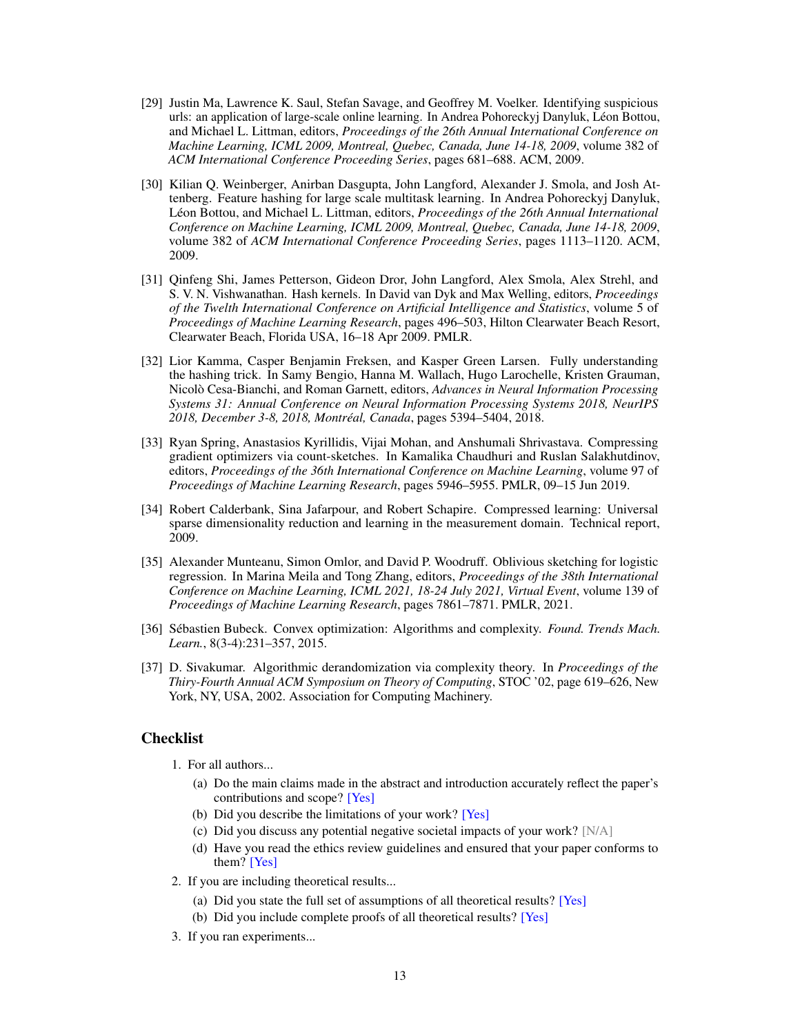- <span id="page-12-0"></span>[29] Justin Ma, Lawrence K. Saul, Stefan Savage, and Geoffrey M. Voelker. Identifying suspicious urls: an application of large-scale online learning. In Andrea Pohoreckyj Danyluk, Léon Bottou, and Michael L. Littman, editors, *Proceedings of the 26th Annual International Conference on Machine Learning, ICML 2009, Montreal, Quebec, Canada, June 14-18, 2009*, volume 382 of *ACM International Conference Proceeding Series*, pages 681–688. ACM, 2009.
- [30] Kilian Q. Weinberger, Anirban Dasgupta, John Langford, Alexander J. Smola, and Josh Attenberg. Feature hashing for large scale multitask learning. In Andrea Pohoreckyj Danyluk, Léon Bottou, and Michael L. Littman, editors, *Proceedings of the 26th Annual International Conference on Machine Learning, ICML 2009, Montreal, Quebec, Canada, June 14-18, 2009*, volume 382 of *ACM International Conference Proceeding Series*, pages 1113–1120. ACM, 2009.
- [31] Qinfeng Shi, James Petterson, Gideon Dror, John Langford, Alex Smola, Alex Strehl, and S. V. N. Vishwanathan. Hash kernels. In David van Dyk and Max Welling, editors, *Proceedings of the Twelth International Conference on Artificial Intelligence and Statistics*, volume 5 of *Proceedings of Machine Learning Research*, pages 496–503, Hilton Clearwater Beach Resort, Clearwater Beach, Florida USA, 16–18 Apr 2009. PMLR.
- [32] Lior Kamma, Casper Benjamin Freksen, and Kasper Green Larsen. Fully understanding the hashing trick. In Samy Bengio, Hanna M. Wallach, Hugo Larochelle, Kristen Grauman, Nicolò Cesa-Bianchi, and Roman Garnett, editors, *Advances in Neural Information Processing Systems 31: Annual Conference on Neural Information Processing Systems 2018, NeurIPS 2018, December 3-8, 2018, Montréal, Canada*, pages 5394–5404, 2018.
- [33] Ryan Spring, Anastasios Kyrillidis, Vijai Mohan, and Anshumali Shrivastava. Compressing gradient optimizers via count-sketches. In Kamalika Chaudhuri and Ruslan Salakhutdinov, editors, *Proceedings of the 36th International Conference on Machine Learning*, volume 97 of *Proceedings of Machine Learning Research*, pages 5946–5955. PMLR, 09–15 Jun 2019.
- [34] Robert Calderbank, Sina Jafarpour, and Robert Schapire. Compressed learning: Universal sparse dimensionality reduction and learning in the measurement domain. Technical report, 2009.
- [35] Alexander Munteanu, Simon Omlor, and David P. Woodruff. Oblivious sketching for logistic regression. In Marina Meila and Tong Zhang, editors, *Proceedings of the 38th International Conference on Machine Learning, ICML 2021, 18-24 July 2021, Virtual Event*, volume 139 of *Proceedings of Machine Learning Research*, pages 7861–7871. PMLR, 2021.
- [36] Sébastien Bubeck. Convex optimization: Algorithms and complexity. *Found. Trends Mach. Learn.*, 8(3-4):231–357, 2015.
- [37] D. Sivakumar. Algorithmic derandomization via complexity theory. In *Proceedings of the Thiry-Fourth Annual ACM Symposium on Theory of Computing*, STOC '02, page 619–626, New York, NY, USA, 2002. Association for Computing Machinery.

#### Checklist

- 1. For all authors...
	- (a) Do the main claims made in the abstract and introduction accurately reflect the paper's contributions and scope? [Yes]
	- (b) Did you describe the limitations of your work? [Yes]
	- (c) Did you discuss any potential negative societal impacts of your work? [N/A]
	- (d) Have you read the ethics review guidelines and ensured that your paper conforms to them? [Yes]
- 2. If you are including theoretical results...
	- (a) Did you state the full set of assumptions of all theoretical results? [Yes]
	- (b) Did you include complete proofs of all theoretical results? [Yes]
- 3. If you ran experiments...